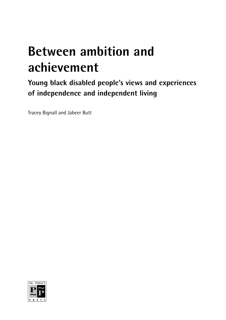# **Between ambition and achievement**

**Young black disabled people's views and experiences of independence and independent living**

Tracey Bignall and Jabeer Butt

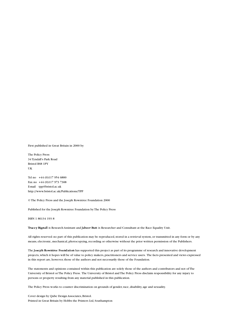First published in Great Britain in 2000 by

The Policy Press 34 Tyndall's Park Road Bristol BS8 1PY UK

Tel no +44 (0)117 954 6800 Fax no +44 (0)117 973 7308 E-mail tpp@bristol.ac.uk http://www.bristol.ac.uk/Publications/TPP

© The Policy Press and the Joseph Rowntree Foundation 2000

Published for the Joseph Rowntree Foundation by The Policy Press

ISBN 1 86134 193 8

Tracey Bignall is Research Assistant and Jabeer Butt is Researcher and Consultant at the Race Equality Unit.

All rights reserved: no part of this publication may be reproduced, stored in a retrieval system, or transmitted in any form or by any means, electronic, mechanical, photocopying, recording or otherwise without the prior written permission of the Publishers.

The Joseph Rowntree Foundation has supported this project as part of its programme of research and innovative development projects, which it hopes will be of value to policy makers, practitioners and service users. The facts presented and views expressed in this report are, however, those of the authors and not necessarily those of the Foundation.

The statements and opinions contained within this publication are solely those of the authors and contributors and not of The University of Bristol or The Policy Press. The University of Bristol and The Policy Press disclaim responsibility for any injury to persons or property resulting from any material published in this publication.

The Policy Press works to counter discrimination on grounds of gender, race, disability, age and sexuality.

Cover design by Qube Design Associates, Bristol. Printed in Great Britain by Hobbs the Printers Ltd, Southampton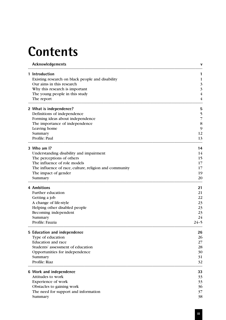# **Contents**

|  | Acknowledgements                                                   |                     |
|--|--------------------------------------------------------------------|---------------------|
|  | 1 Introduction<br>Existing research on black people and disability | 1                   |
|  | Our aims in this research                                          | 3                   |
|  | Why this research is important<br>The young people in this study   | 3<br>$\overline{4}$ |
|  | The report                                                         | 4                   |
|  | 2 What is independence?                                            | 5                   |
|  | Definitions of independence                                        | 5                   |
|  | Forming ideas about independence                                   | 7                   |
|  | The importance of independence                                     | 8                   |
|  | Leaving home<br>Summary                                            | 9<br>12             |
|  | Profile: Paul                                                      | 13                  |
|  | 3 Who am I?                                                        | 14                  |
|  | Understanding disability and impairment                            | 14                  |
|  | The perceptions of others                                          | 15                  |
|  | The influence of role models                                       | 17                  |
|  | The influence of race, culture, religion and community             | 17                  |
|  | The impact of gender<br>Summary                                    | 19<br>20            |
|  | 4 Ambitions                                                        | 21                  |
|  | Further education                                                  | 21                  |
|  | Getting a job                                                      | 22                  |
|  | A change of life-style                                             | 23                  |
|  | Helping other disabled people                                      | 23                  |
|  | Becoming independent                                               | 23                  |
|  | Summary<br>Profile: Fauzia                                         | 24<br>24-5          |
|  |                                                                    |                     |
|  | 5 Education and independence<br>Type of education                  | 26<br>26            |
|  | <b>Education</b> and race                                          | 27                  |
|  | Students' assessment of education                                  | 28                  |
|  | Opportunities for independence                                     | 30                  |
|  | Summary                                                            | 31                  |
|  | Profile: Riaz                                                      | 32                  |
|  | 6 Work and independence                                            | 33                  |
|  | Attitudes to work                                                  | 33                  |
|  | Experience of work                                                 | 33                  |
|  | Obstacles to gaining work                                          | 36                  |
|  | The need for support and information                               | 37<br>38            |
|  | Summary                                                            |                     |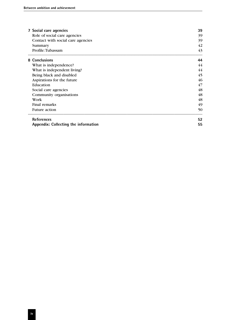| 7 Social care agencies               | 39 |
|--------------------------------------|----|
| Role of social care agencies         | 39 |
| Contact with social care agencies    | 39 |
| Summary                              | 42 |
| Profile: Tubassam                    | 43 |
| 8 Conclusions                        | 44 |
| What is independence?                | 44 |
| What is independent living?          | 44 |
| Being black and disabled             | 45 |
| Aspirations for the future           | 46 |
| Education                            | 47 |
| Social care agencies                 | 48 |
| Community organisations              | 48 |
| Work                                 | 48 |
| Final remarks                        | 49 |
| <b>Future action</b>                 | 50 |
| <b>References</b>                    | 52 |
| Appendix: Collecting the information | 55 |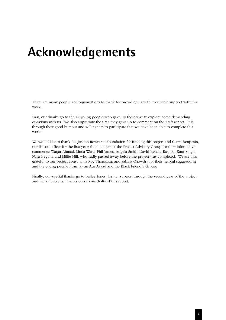# **Acknowledgements**

There are many people and organisations to thank for providing us with invaluable support with this work.

First, our thanks go to the 44 young people who gave up their time to explore some demanding questions with us. We also appreciate the time they gave up to comment on the draft report. It is through their good humour and willingness to participate that we have been able to complete this work.

We would like to thank the Joseph Rowntree Foundation for funding this project and Claire Benjamin, our liaison officer for the first year; the members of the Project Advisory Group for their informative comments: Waqar Ahmad, Linda Ward, Phil James, Angela Smith, David Behan, Rashpal Kaur Singh, Nasa Begum, and Millie Hill, who sadly passed away before the project was completed. We are also grateful to our project consultants Roy Thompson and Sabina Chowdry for their helpful suggestions; and the young people from Jawan Aur Azaad and the Black Friendly Group.

Finally, our special thanks go to Lesley Jones, for her support through the second year of the project and her valuable comments on various drafts of this report.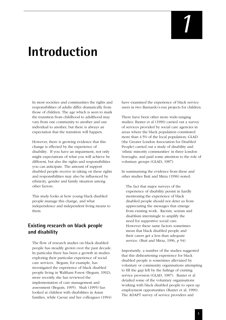# *1*

# **Introduction**

In most societies and communities the rights and responsibilities of adults differ dramatically from those of children. The age which is seen to mark the transition from childhood to adulthood may vary from one community to another and one individual to another, but there is always an expectation that the transition will happen.

However, there is growing evidence that this change is effected by the experience of disability. If you have an impairment, not only might expectations of what you will achieve be different, but also the rights and responsibilities you can anticipate. The amount of support disabled people receive in taking on these rights and responsibilities may also be influenced by ethnicity, gender and family situation among other factors.

This study looks at how young black disabled people manage this change, and what independence and independent living means to them.

# **Existing research on black people and disability**

The flow of research studies on black disabled people has steadily grown over the past decade. In particular there has been a growth in studies exploring their particular experience of social care services. Begum, for example, has investigated the experience of black disabled people living in Waltham Forest (Begum, 1992); more recently she has reviewed the implementation of care management and assessment (Begum, 1995). Shah (1995) has looked at children with disabilities in Asian families, while Caesar and her colleagues (1994)

have examined the experience of black service users in two Barnardo's-run projects for children.

There have been other more wide-ranging studies: Baxter et al (1990) carried out a survey of services provided by social care agencies in areas where the black population constituted more than 4.5% of the local population; GLAD (the Greater London Association for Disabled People) carried out a study of disability and 'ethnic minority communities' in three London boroughs, and paid some attention to the role of voluntary groups (GLAD, 1987).

In summarising the evidence from these and other studies Butt and Mirza (1996) noted:

The fact that major surveys of the experience of disability persist in hardly mentioning the experience of black disabled people should not deter us from appreciating the messages that emerge from existing work. Racism, sexism and disablism intermingle to amplify the need for supportive social care. However these same factors sometimes mean that black disabled people and their carers get a less than adequate service. (Butt and Mirza, 1996, p 94)

Importantly, a number of the studies suggested that this disheartening experience for black disabled people is sometimes alleviated by voluntary or community organisations attempting to fill the gap left by the failings of existing service provision (GLAD, 1987). Baxter et al detailed some of the voluntary organisations working with black disabled people to open up employment opportunities (Baxter et al, 1990). The ADAPT survey of service providers and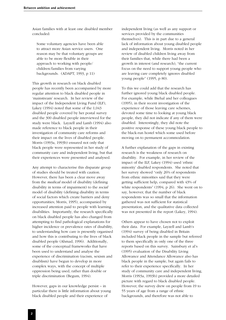Asian families with at least one disabled member concluded:

Some voluntary agencies have been able to attract more Asian service users. One reason may be that voluntary groups are able to be more flexible in their approach to working with people/ children/families from varying backgrounds. (ADAPT, 1993, p 11)

This growth in research on black disabled people has recently been accompanied by more regular attention to black disabled people in 'mainstream' research. In her review of the impact of the Independent Living Fund (ILF), Lakey (1994) noted that some of the 1,043 disabled people covered by her postal survey and the 300 disabled people interviewed for the study were black. Layzell and Lamb (1994) also made reference to black people in their investigation of community care reforms and their impact on the lives of disabled people. Morris (1993a, 1993b) ensured not only that black people were represented in her study of community care and independent living, but that their experiences were presented and analysed.

Any attempt to characterise this disparate group of studies should be treated with caution. However, there has been a clear move away from the *medical* model of disability (defining disability in terms of impairment) to the *social* model of disability (defining disability in terms of social factors which create barriers and deny opportunities; Morris, 1995), accompanied by increased attention paid to people with learning disabilities. Importantly, the research specifically on black disabled people has also changed from attempting to find pathological explanations for higher incidence or prevalence rates of disability, to understanding how care is presently organised and how this is contributing to the lives of black disabled people (Ahmad, 1996). Additionally, some of the conceptual frameworks that have been used to understand and analyse the experience of discrimination (racism, sexism and disablism) have begun to develop in more complex ways, with the concept of multiple oppression being used, rather than double or triple discrimination (Begum, 1994).

However, gaps in our knowledge persist – in particular there is little information about young black disabled people and their experience of

independent living (as well as any support or services provided by the communities themselves). This is in part due to a general lack of information about young disabled people and independent living. Morris noted in her review of disabled children living away from their families that, while there had been a growth in interest (and research), "the current focus on the need to support young people who are leaving care completely ignores disabled young people" (1995, p 80).

To this we could add that the research has further ignored young black disabled people. For example, while Biehal and her colleagues (1995), in their recent investigation of the experience of those leaving care schemes, devoted some time to looking at young black people, they did not indicate if any of them were disabled. Interestingly, they did note the positive response of these young black people to the black-run hostel which some used before moving on to permanent accommodation.

A further explanation of the gaps in existing research is the weakness of research on disability. For example, in her review of the impact of the ILF, Lakey (1994) used 'ethnic minority' disabled respondents. She noted that her survey showed "only 26% of respondents from ethnic minorities said that they were getting sufficient help, compared with 43% of white respondents" (1994, p 26). She went on to say, however, that the number of black respondents was so small that the information gathered was not sufficient for statistical presentation, and the qualitative data collected was not presented in the report (Lakey, 1994).

Others appear to have chosen not to exploit their data. For example, Layzell and Lamb's (1994) survey of being disabled in Britain included black people in the sample but referred to them specifically in only one of the three reports based on this survey. Sainsbury et al's (1995) evaluation of the Disability Living Allowance and Attendance Allowance also has black people in the sample, but again fails to refer to their experience specifically. In her study of community care and independent living, Morris (1993a, 1993b) provided a more detailed picture with regard to black disabled people. However, the survey drew on people from 19 to 55 years of age from a range of ethnic backgrounds, and therefore was not able to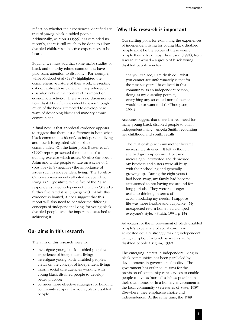reflect on whether the experiences identified are true of *young* black disabled people. Additionally, as Morris (1995) has reminded us recently, there is still much to be done to allow disabled children's subjective experiences to be heard.

Equally, we must add that some major studies of black and minority ethnic communities have paid scant attention to disability. For example, while Modood et al (1997) highlighted the comprehensive nature of their work, presenting data on ill-health in particular, they referred to disability only in the context of its impact on economic inactivity. There was no discussion of how disability influences identity, even though much of the book attempted to develop new ways of describing black and minority ethnic communities.

A final note is that anecdotal evidence appears to suggest that there is a difference in both what black communities identify as independent living and how it is regarded within black communities. On the latter point Baxter et al's (1990) report presented the outcome of a training exercise which asked 30 Afro-Caribbean, Asian and white people to rate on a scale of 1 (positive) to 5 (negative) the importance of issues such as independent living. The 10 Afro-Caribbean respondents all rated independent living as '1' (positive), while five of the Asian respondents rated independent living as '3' and a further five rated it as '5' (negative). While this evidence is limited, it does suggest that this report will also need to consider the differing concepts of 'independent living' for young black disabled people, and the importance attached to achieving it.

### **Our aims in this research**

The aims of this research were to:

- investigate young black disabled people's experience of independent living;
- investigate young black disabled people's views on the concept of independent living;
- inform social care agencies working with young black disabled people to develop better practice;
- consider more effective strategies for building community support for young black disabled people.

# **Why this research is important**

Our starting point for examining the experiences of independent living for young black disabled people must be the voices of these young people themselves. Roy Thompson (1994), from Jawaan aur Azaad – a group of black young disabled people – notes:

"As you can see, I am disabled. What you cannot see unfortunately is that for the past six years I have lived in this community as an independent person, doing as my disability permits, everything any so-called normal person would do or want to do". (Thompson, 1994)

Accounts suggest that there is a real need for many young black disabled people to attain independent living. Angela Smith, recounting her childhood and youth, recalls:

The relationship with my mother became increasingly strained. It felt as though she had given up on me. I became increasingly introverted and depressed. My brothers and sisters were all busy with their schooling and generally growing up. During the eight years I had been away, my family had become accustomed to not having me around for long periods. They were no longer use[d] to thinking in terms of accommodating my needs. I suppose life was more flexible and adaptable. My unexpected return home had cramped everyone's style. (Smith, 1994, p 134)

Advocates for the improvement of black disabled people's experience of social care have advocated equally strongly making independent living an option for black as well as white disabled people (Begum, 1992).

The emerging interest in independent living in black communities has been paralleled by developments in governmental policy. The government has outlined its aims for the provision of community care services to enable people to live as 'normal' a life as possible in their own homes or in a homely environment in the local community (Secretaries of State, 1989). Elsewhere, they emphasise choice and independence. At the same time, the 1989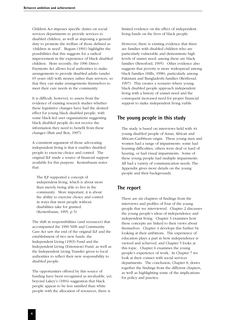Children Act imposes specific duties on social services departments to provide services to disabled children, as well as imposing a general duty to promote the welfare of those defined as 'children in need'. Begum (1991) highlights the possibilities that this suggests for a radical improvement in the experience of black disabled children. More recently, the 1996 Direct Payments Act allows local authorities to make arrangements to provide disabled adults (under 65 years old) with money rather than services, so that they can make arrangements themselves to meet their care needs in the community.

It is difficult, however, to assess from the evidence of existing research studies whether these legislative changes have had the desired effect for young black disabled people, with some black-led user organisations suggesting black disabled people do not receive the information they need to benefit from these changes (Butt and Box, 1997).

A consistent argument of those advocating independent living is that it enables disabled people to exercise choice and control. The original ILF made a source of financial support available for this purpose. Kestenbaum notes that:

The ILF supported a concept of independent living, which is about more than merely being able to live in the community. More important, it is about the ability to exercise choice and control in ways that most people without disabilities take for granted. (Kestenbaum, 1995, p 5)

The shift in responsibilities (and resources) that accompanied the 1990 NHS and Community Care Act saw the end of the original ILF and the establishment of two new funds: the Independent Living (1993) Fund and the Independent Living (Extension) Fund, as well as the Independent Living Transfer given to local authorities to reflect their new responsibility to disabled people.

The opportunities offered by this source of funding have been recognised as invaluable, yet, beyond Lakey's (1994) suggestion that black people appear to be less satisfied than white people with the allocation of resources, there is

limited evidence on the effect of independent living funds on the lives of black people.

However, there is existing evidence that there are families with disabled children who are particularly vulnerable and demonstrate high levels of unmet need: among these are black families (Beresford, 1995). Other evidence also suggests that poverty is more widespread among black families (Hills, 1998), particularly among Pakistani and Bangladeshi families (Berthoud, 1997). This creates a scenario where young black disabled people approach independent living with a history of unmet need and the consequent increased need for proper financial support to make independent living viable.

# **The young people in this study**

The study is based on interviews held with 44 young disabled people of Asian, African and African–Caribbean origin. These young men and women had a range of impairments: some had learning difficulties, others were deaf or hard of hearing, or had visual impairments. Some of these young people had multiple impairments. All had a variety of communication needs. The Appendix gives more details on the young people and their backgrounds.

# **The report**

There are six chapters of findings from the interviews and profiles of four of the young people that we interviewed. Chapter 2 discusses the young people's ideas of independence and independent living. Chapter 3 examines how these concepts are linked to their views about themselves. Chapter 4 develops this further by looking at their ambitions. The experience of education plays a part in how independence is viewed and achieved, and Chapter 5 looks at this topic. Chapter 6 examines the young people's experience of work. In Chapter 7 we look at their contact with social services departments. The conclusion, Chapter 8, draws together the findings from the different chapters, as well as highlighting some of the implications for policy and practice.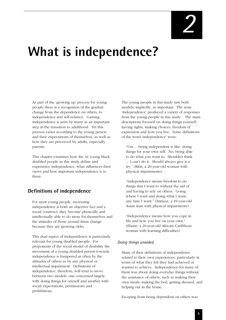# **What is independence?**

As part of the 'growing up' process for young people there is a recognition of the gradual change from the dependence on others, to independence and self-reliance. Gaining independence is seen by many as an important step in the transition to adulthood. Yet this process varies according to the young person and their expectations of themselves, as well as how they are perceived by adults, especially parents.

This chapter examines how the 44 young black disabled people in this study define and experience independence, what influences their views and how important independence is to them.

# **Definitions of independence**

For most young people, increasing independence is both an objective fact and a social construct: they become physically and intellectually able to do more for themselves and the attitudes of those around them change because they are growing older.

This dual aspect of independence is particularly relevant for young disabled people. For proponents of the social model of disability the movement of a young disabled person towards independence is hampered as often by the attitudes of others as by any physical or intellectual impairment. Definitions of independence, therefore, will tend to move between two models: one concerned largely with doing things for oneself and another with social expectations, permissions and prohibitions.

The young people in this study saw both models, implicitly, as important. The term 'independence' produced a variety of responses from the young people in this study. The main descriptions focused on doing things yourself, having rights, making choices, freedom of expression and how you live. Some definitions of the word 'independence' were:

"Um ... being independent is like, doing things for your own self. No, being able to do what you want to. Shouldn't think ... I can't do it. Should always give it a try." (Rifat, a 20-year-old woman with physical impairments)

"Independence means freedom to do things that I want to without the aid of and having to rely on others. Going where I want and doing what I want, any time I want." (Imtiaaz, a 19-year-old Asian man with physical impairments)

"Independence means how you cope in life and how you live on your own." (Elaine, a 20-year-old African–Caribbean woman with learning difficulties)

#### *Doing things unaided*

Many of their definitions of independence related to their own experiences, particularly in terms of what they felt they had achieved or wanted to achieve. Independence for many of them was about doing everyday things without the assistance of others, such as making their own meals, making the bed, getting dressed, and helping out in the home.

Escaping from being dependent on others was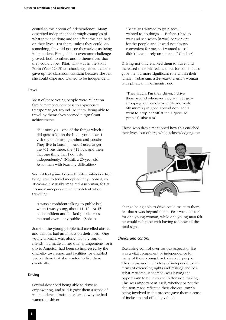central to this notion of independence. Many described independence through examples of what they had done and the effect this had had on their lives. For them, unless they could 'do' something, they did not see themselves as being independent. Being able to overcome challenges proved, both to others and to themselves, that they could cope. Rifat, who was in the Sixth Form (Year 12/13) at school, explained that she gave up her classroom assistant because she felt she could cope and wanted to be independent.

#### Travel

Most of these young people were reliant on family members or access to appropriate transport to get around. To them, being able to travel by themselves seemed a significant achievement:

"But mostly I – one of the things which I did quite a lot on the bus – you know, I visit my uncle and grandma and cousins. They live in Luton.... And I used to get the 311 bus there, the 311 bus, and then, that one thing that I do, I do independently." (Nikhil, a 26-year-old Asian man with learning difficulties)

Several had gained considerable confidence from being able to travel independently. Sohail, an 18-year-old visually impaired Asian man, felt at his most independent and confident when travelling:

"I wasn't confident talking to public [sic] when I was young, about 11, 10. At 15 had confident and I asked public cross me road over – any public." (Sohail)

Some of the young people had travelled abroad and this has had an impact on their lives. One young woman, who along with a group of friends had made all her own arrangements for a trip to America, had been so impressed by the disability awareness and facilities for disabled people there that she wanted to live there eventually.

#### Driving

Several described being able to drive as empowering, and said it gave them a sense of independence. Imtiaaz explained why he had wanted to drive:

"Because I wanted to go places, I wanted to do things.... Before, I had to wait and see when [it was] convenient for the people and [it was] not always convenient for me, so I wanted to so I didn't have to rely on others...." (Imtiaaz)

Driving not only enabled them to travel and increased their self-reliance, but for some it also gave them a more significant role within their family. Tubassam, a 24-year-old Asian woman with physical impairments, said:

"They laugh, I'm their driver, I drive them around wherever they want to go – shopping, or Tesco's or whatever, yeah. My mum's just gone abroad now and I went to drop her off at the airport, so yeah." (Tubassam)

Those who drove mentioned how this enriched their lives, but others, while acknowledging the



change being able to drive could make to them, felt that it was beyond them. Fear was a factor for one young woman, while one young man felt he would not cope with having to know all the road signs.

#### *Choice and control*

Exercising control over various aspects of life was a vital component of independence for many of these young black disabled people. They expressed their ideas of independence in terms of exercising rights and making choices. What mattered, it seemed, was having the opportunity to be involved in decision making. This was important in itself, whether or not the decision made reflected their choices, simply being involved in the process gave them a sense of inclusion and of being valued.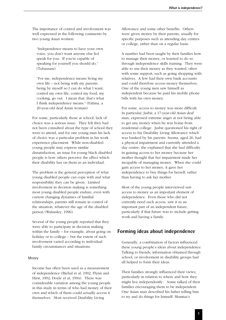The importance of control and involvement was well expressed in the following comments by two young Asian women:

"Independence means to have your own voice, you don't want anyone else [to] speak for you. If you're capable of speaking for yourself you should do." (Tubassam)

"For me, independence means living my own life – not being with my parents, being by myself so I can do what I want, control my own life, control my food, my cooking, go out. I mean that, that's what I think independence means." (Fatima, a 20-year-old deaf Asian woman)

For some, particularly those at school, lack of choice was a serious issue. They felt they had not been consulted about the type of school they were to attend, and for one young man his lack of choice was a particular problem in his work experience placement. While non-disabled young people may express similar dissatisfaction, an issue for young black disabled people is how others perceive the effect which their disability has on them as an individual.

The problem is the general perception of what young disabled people can cope with and what responsibility they can be given. Limited involvement in decision making is something most young disabled people endure; even with current changing dynamics of familial relationships, parents still remain in control of the situation, whatever the age of the disabled person (Walmsley, 1996).

Several of the young people reported that they were able to participate in decision making within the family – for example, about going on holiday or to college – but the extent of such involvement varied according to individual family circumstances and situations.

#### Money

Income has often been used as a measurement of independence (Biehal et al, 1992; Flynn and Hirst, 1992; Doyle et al, 1994). There was considerable variation among the young people in this study in terms of who had money of their own and which of them could actually access it themselves. Most received Disability Living

Allowance and some other benefits. Others were given money by their parents, usually for specific purposes such as attending day centres or college, rather than on a regular basis.

A number had been taught by their families how to manage their money, or learned to do so through independence skills training. They were able to use their money as they wanted, often with some support, such as going shopping with relatives. A few had their own bank accounts and could therefore access money themselves. One of the young men saw himself as independent because he paid his mobile phone bills with his own money.

For some, access to money was more difficult. In particular, Jasbir, a 17-year-old Asian deaf man, expressed extreme anger at not being able to get any money when he was home from residential college. Jasbir questioned his right of access to his Disability Living Allowance which was banked by his parents. Seema, aged 26, had a physical impairment and currently attended a day centre: she explained that she had difficulty in gaining access to her money because her mother thought that her impairment made her incapable of managing money. When she could gain access to her money, it gave her independence to buy things for herself, rather than having to ask her mother.

Most of the young people interviewed saw access to money as an important element of independence. Even those who did not currently need such access, saw it as an important part of an independent future, particularly if that future was to include getting work and having a family.

#### **Forming ideas about independence**

Generally, a combination of factors influenced these young people's ideas about independence. Talking to friends, information obtained through school, or involvement in disability groups had all helped to form their ideas.

Their families strongly influenced their views, particularly in relation to where and how they might live independently. Some talked of their families encouraging them to be independent. One Asian man described his father telling him to try and do things for himself: Mumtaz's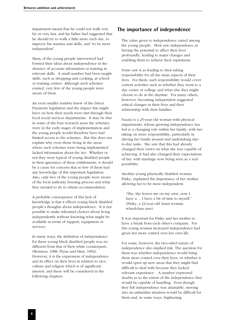impairment meant that he could not walk very far or very fast, and his father had suggested that he should try to walk a little more each day, to improve his stamina and skills, and "to be more independent".

Many of the young people interviewed had formed their ideas about independence in the absence of accurate information or training in relevant skills. A small number had been taught skills, such as shopping and cooking, at school or training centres. Although such schemes existed, very few of the young people were aware of them.

An even smaller number knew of the Direct Payments legislation and the impact this might have on how their needs were met through their local social services departments. It may be that in some of the four research areas the schemes were in the early stages of implementation and the young people would therefore have had limited access to the schemes. But this does not explain why even those living in the areas where such schemes were being implemented lacked information about the Act. Whether or not they were typical of young disabled people in their ignorance of these entitlements, it should be a cause for concern that so few of them had any knowledge of this important legislation. Also, only two of the young people were aware of the local authority housing process and what they needed to do to obtain accommodation.

A probable consequence of this lack of knowledge is that it effects young black disabled people's thoughts about independence. It is not possible to make informed choices about living independently without knowing what might be available in terms of support, equipment or services.

In many ways, the definition of independence for these young black disabled people was no different from that of their white counterparts (Bennion, 1988; Flynn and Hirst, 1992). However, it is the expression of independence and its effect on their lives in relation to race, culture and religion which is of significant interest, and these will be considered in the following chapters.

#### **The importance of independence**

The value given to independence varied among the young people. Most saw independence as having the potential to affect their lives profoundly, leading to major changes and enabling them to achieve their aspirations.

Some saw it as leading to their taking responsibility for all the main aspects of their lives. For them, such responsibility would cover current activities such as whether they went to a day centre or college and what else they might choose to do in the daytime. For many others, however, becoming independent suggested critical changes in their lives and their relationship with their families.

Fauzia is a 25-year-old woman with physical impairments, whose growing independence has led to a changing role within her family, with her taking on more responsibility, particularly in driving her family around and undertaking dayto-day tasks. She saw that this had already changed their views on what she was capable of achieving. It had also changed their expectations of her, with marriage now being seen as a real possibility.

Another young physically disabled woman, Pinky, explained the importance of her mother allowing her to be more independent:

"She, she leaves me on my own, now I have a ... I have a bit of time to myself." (Pinky, a 22-year-old Asian woman wheelchair user)

It was important for Pinky and her mother to have a break from each other's company. For this young woman increased independence had given her more control over her own life.

For some, however, the two-sided nature of independence also implied risk. The question for them was whether independence would bring them more control over their lives, or whether it would open up new areas that they might find difficult to deal with because they lacked relevant experience. A number expressed doubts as to the extent of the independence they would be capable of handling. Even though they felt independence was attainable, moving into an unfamiliar situation would be difficult for them and, in some ways, frightening.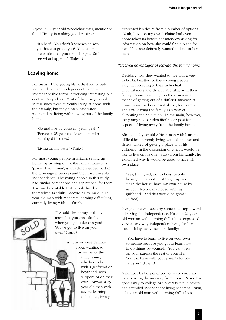Rajesh, a 17-year-old wheelchair user, mentioned the difficulty in making good choices:

"It's hard. You don't know which way you have to go do you? You just make the choice that you think is right. So I see what happens." (Rajesh)

# **Leaving home**

For many of the young black disabled people independence and independent living were interchangeable terms, producing interesting but contradictory ideas. Most of the young people in this study were currently living at home with their family, but they clearly associated independent living with moving out of the family home:

"Go and live by yourself, yeah, yeah." (Pervez, a 25-year-old Asian man with learning difficulties)

"Living on my own." (Pinky)

For most young people in Britain, setting up home, by moving out of the family home to a 'place of your own', is an acknowledged part of the growing-up process and the move towards independence. The young people in this study had similar perceptions and aspirations: for them it seemed inevitable that people live by themselves as adults. According to Tariq, a 16 year-old man with moderate learning difficulties, currently living with his family:



A number were definite about wanting to move out of the family home, whether to live with a girlfriend or boyfriend, with support, or on their own. Anwar, a 25 year-old man with severe learning difficulties, firmly

expressed his desire from a number of options: "Yeah, I live on my own". Elaine had even approached us before her interview asking for information on how she could find a place for herself, as she definitely wanted to live on her own.

#### *Perceived advantages of leaving the family home*

Deciding how they wanted to live was a very individual matter for these young people, varying according to their individual circumstances and their relationship with their family. Some saw living on their own as a means of getting out of a difficult situation at home: some had disclosed abuse, for example, and saw leaving the family as a way of alleviating their situation. In the main, however, the young people identified more positive aspects of living away from the family home.

Alfred, a 17-year-old African man with learning difficulties, currently living with his mother and sisters, talked of getting a place with his girlfriend. In the discussion of what it would be like to live on his own, away from his family, he explained why it would be good to have his own place:

"Yes, by myself, not to boss, people bossing me about. Just to get up and clean the house, have my own house by myself. No no, my house with my girlfriend. And that would be good." (Alfred)

Living alone was seen by some as a step towards achieving full independence. Hosni, a 29-yearold woman with learning difficulties, expressed very clearly why independent living for her meant living away from her family:

"You have to learn to live on your own sometime because you got to learn how to do things by yourself. You can't rely on your parents the rest of your life. You can't live with your parents for life can you?" (Hosni)

A number had experienced, or were currently experiencing, living away from home. Some had gone away to college or university while others had attended independent living schemes. Nitin, a 24-year-old man with learning difficulties,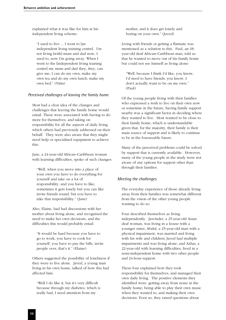explained what it was like for him at his independent living scheme:

"I used to live ... I went to [an independent living training centre]. I'm not living [with] mum and dad now, I used to, now I'm going away. When I went to the [independent living training centre] my mum and dad they, they, can give me, I can do my own, make my own tea and do my own lunch, make my own bed." (Nitin)

#### *Perceived challenges of leaving the family home*

Most had a clear idea of the changes and challenges that leaving the family home would entail. These were associated with having to do more for themselves, and taking on responsibility for all the aspects of daily living which others had previously addressed on their behalf. They were also aware that they might need help or specialised equipment to achieve this.

Jane, a 24-year-old African–Caribbean woman with learning difficulties, spoke of such changes:

"Well, when you move into a place of your own you have to do everything for yourself and take on a lot of responsibility, and you have to like, sometimes it gets lonely but you can like invite friends round, but you have to take that responsibility." (Jane)

Also, Elaine, had had discussions with her mother about living alone, and recognised the need to make her own decisions, and the difficulties this would probably entail:

"It would be hard because you have to go to work, you have to cook for yourself, you have to pay the bills, invite people over, that's it." (Elaine)

Others suggested the possibility of loneliness if they were to live alone. Javed, a young man living in his own home, talked of how this had affected him:

"Well I do like it, but it's very difficult because through my diabetes, which is really bad, I need attention from my

mother, and it does get lonely and boring on your own." (Javed)

Living with friends or getting a flatmate was mentioned as a solution to this. Paul, an 18 year-old deaf African–Caribbean man, told us that he wanted to move out of his family home but could not see himself as living alone:

"Well, because I think I'd like, you know, I'd need to have friends, you know, I don't actually want to be on me own." (Paul)

Of the young people living with their families who expressed a wish to live on their own now or sometime in the future, having family support nearby was a significant factor in deciding where they wanted to live. Most wanted to be close to their family home, which is understandable given that, for the majority, their family is their main source of support and is likely to continue to be in the foreseeable future.

Many of the perceived problems could be solved by support that is currently available. However, many of the young people in the study were not aware of any options for support other than through their families.

#### *Meeting the challenges*

The everyday experience of those already living away from their families was somewhat different from the vision of the other young people wanting to do so.

Four described themselves as living independently. Jasvinder, a 25-year-old Asian deaf woman, was living in a house with a younger sister; Abdul, a 25-year-old man with a physical impairment, was married and living with his wife and children; Javed had multiple impairments and was living alone; and Azhar, a 22-year-old with learning difficulties, lived in a semi-independent home with two other people and 24-hour support.

These four explained how they took responsibility for themselves, and managed their own daily living. The positive elements they identified were: getting away from noise in the family home; being able to play their own music when they wanted to; and making their own decisions. Even so, they raised questions about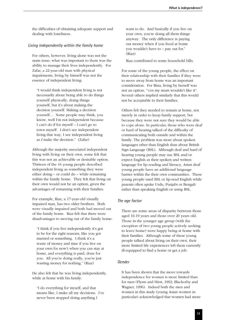the difficulties of obtaining adequate support and dealing with loneliness.

#### *Living independently within the family home*

For others, however, living alone was not the main issue: what was important to them was the ability to manage their lives independently. For Zafar, a 22-year-old man with physical impairments, living by himself was not the essence of independent living:

"I would think independent living is not necessarily about being able to do things yourself physically, doing things yourself, but it's about making the decision yourself. Making a decision yourself.... Some people may think, you know, well I'm not independent because I can't do if for myself – I can't go to town myself. I don't see independent living that way, I see independent living as *I* make the decision." (Zafar)

Although the majority associated independent living with living on their own, some felt that this was not an achievable or desirable option. Thirteen of the 44 young people described independent living as something they were either doing – or could do – while remaining within the family home. They felt that living on their own would not be an option, given the advantages of remaining with their families.

For example, Riaz, a 17-year-old visually impaired man, has two older brothers. Both were visually impaired and both had moved out of the family home. Riaz felt that there were disadvantages to moving out of the family home:

"I think if you live independently it's got to be for the right reasons, like you got married or something. I think it's a waste of money and time if you live on your own for now't when you can stay at home, and everything is paid, done for you. All you're doing really, you're just wasting money for nothing." (Riaz)

He also felt that he was living independently, while at home with his family:

"I do everything for myself, and that means like, I make all my decisions. I've never been stopped doing anything I

want to do. And basically if you live on your own, you're doing all them things anyway. The only difference is paying out money when if you lived at home you wouldn't have to – pay out for." (Riaz)

Riaz contributed to some household bills.

For some of the young people, the effect on their relationship with their families if they were to move away from home was an important consideration. For Bina, living by herself was not an option, "'cos my mum wouldn't like it". Several others implied similarly that this would not be acceptable to their families.

Others felt they needed to remain at home, not merely in order to keep family support, but because they were not sure they would be able to cope alone. In particular, those who were deaf or hard of hearing talked of the difficulty of communicating both outside and within the family. The problem was more about spoken languages other than English than about British Sign Language (BSL). Although deaf and hard of hearing young people may use BSL and/or expect English as their spoken and written language for lip reading and literacy, Asian deaf young people have an additional language barrier within the their own communities. These young people used BSL or lip-read English while parents often spoke Urdu, Punjabi or Bengali rather than speaking English or using BSL.

#### *The age factor*

There are some areas of disparity between those aged 16-19 years and those over 20 years old. Those in the younger age group (with the exception of two young people actively seeking to leave home) were happy being at home with their families. Although some of these young people talked about living on their own, their more limited life experiences left them currently ill-equipped to find a home or get a job.

#### *Gender*

It has been shown that the move towards independence for women is more limited than for men (Flynn and Hirst, 1992; Blackorby and Wagner, 1996). Indeed both the men and women in this study (young Asian women in particular) acknowledged that women had more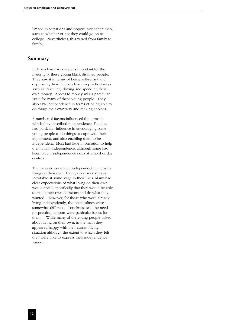limited expectations and opportunities than men, such as whether or not they could go on to college. Nevertheless, this varied from family to family.

#### **Summary**

Independence was seen as important for the majority of these young black disabled people. They saw it in terms of being self-reliant and expressing their independence in practical ways such as travelling, driving and spending their own money. Access to money was a particular issue for many of these young people. They also saw independence in terms of being able to do things their own way and making choices.

A number of factors influenced the terms in which they described independence. Families had particular influence in encouraging some young people to do things to cope with their impairment, and also enabling them to be independent. Most had little information to help them attain independence, although some had been taught independence skills at school or day centres.

The majority associated independent living with living on their own. Living alone was seen as inevitable at some stage in their lives. Many had clear expectations of what living on their own would entail, specifically that they would be able to make their own decisions and do what they wanted. However, for those who were already living independently, the practicalities were somewhat different. Loneliness and the need for practical support were particular issues for them. While many of the young people talked about living on their own, in the main they appeared happy with their current living situation although the extent to which they felt they were able to express their independence varied.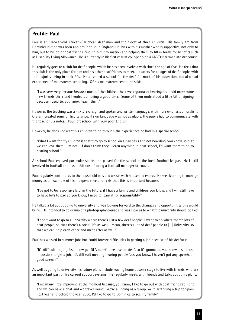# **Profile: Paul**

Paul is an 18-year-old African–Caribbean deaf man and the eldest of three children. His family are from Dominica but he was born and brought up in England. He lives with his mother who is supportive, not only to him, but to his other deaf friends, finding out information and helping them to fill in forms for benefits such as Disability Living Allowance. He is currently in his first year at college doing a GNVQ Intermediate Art course.

He regularly goes to a club for deaf people, which he has been involved with since the age of five. He feels that this club is the only place for him and his other deaf friends to meet. It caters for all ages of deaf people, with the majority being in their 30s. He attended a school for the deaf for most of his education, but also had experience of mainstream schooling. Of his mainstream school he said:

"I was very, very nervous because most of the children there were gonna be hearing, but I did make some new friends there and I ended up having a good time. Some of them understood a little bit of signing because I used to, you know, teach them."

However, the teaching was a mixture of sign and spoken and written language, with more emphasis on oralism. Oralism created some difficulty since, if sign language was not available, the pupils had to communicate with the teacher via notes. Paul left school with very poor English.

However, he does not want his children to go through the experiences he had in a special school:

"What I want for my children is that they go to school on a day basis and not boarding, you know, so that we can love them. I'm not ... I don't think they'll learn anything in deaf school, I'd want them to go to hearing school."

At school Paul enjoyed particular sports and played for the school in the local football league. He is still involved in football and has ambitions of being a football manager or coach.

Paul regularly contributes to the household bills and assists with household chores. He sees learning to manage money as an example of his independence and feels that this is important because:

"I've got to be responsive [sic] in the future, if I have a family and children, you know, and I will still have to have bills to pay, so you know, I need to learn it for responsibility."

He talked a lot about going to university and was looking forward to the changes and opportunities this would bring. He intended to do drama or a photography course and was clear as to what the university should be like:

"I don't want to go to a university where there's just a few deaf people. I want to go where there's lots of deaf people, so that there's a social life as well, I mean, there's a lot of deaf people at [...] University, so that we can help each other and meet after as well."

Paul has worked in summer jobs but could foresee difficulties in getting a job because of his deafness:

"It's difficult to get jobs. I now get DLA benefit because I'm deaf, so it's gonna be, you know, it's almost impossible to get a job. It's difficult meeting hearing people 'cos you know, I haven't got any speech, or good speech."

As well as going to university, his future plans include leaving home at some stage to live with friends, who are an important part of his current support systems. He regularly meets with friends and talks about his plans:

"I mean my life's improving at the moment because, you know, I like to go out with deaf friends at night and we can have a chat and we travel round. We're all going as a group, we're arranging a trip to Spain next year and before the year 2000, I'd like to go to Dominica to see my family."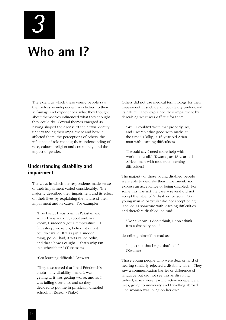*3*

# **Who am I?**

The extent to which these young people saw themselves as independent was linked to their self-image and experiences: what they thought about themselves influenced what they thought they could do. Several themes emerged as having shaped their sense of their own identity: understanding their impairment and how it affected them; the perceptions of others; the influence of role models; their understanding of race, culture, religion and community; and the impact of gender.

### **Understanding disability and impairment**

The ways in which the respondents made sense of their impairment varied considerably. The majority described their impairment and its effect on their lives by explaining the nature of their impairment and its cause. For example:

"I, as I said, I was born in Pakistan and when I was walking about and, you know, I suddenly got a temperature. I fell asleep, woke up, believe it or not couldn't walk. It was just a sudden thing, polio I had, it was called polio, and that's how I caught ... that's why I'm in a wheelchair." (Tubassam)

"Got learning difficult." (Anwar)

"They discovered that I had Friedreich's ataxia – my disability – and it was getting ... it was getting worse, and so I was falling over a lot and so they decided to put me in physically disabled school, in Essex." (Pinky)

Others did not use medical terminology for their impairment in such detail, but clearly understood its nature. They explained their impairment by describing what was difficult for them:

"Well I couldn't write that properly, no, and I weren't that good with maths at the time." (Dillip, a 16-year-old Asian man with learning difficulties)

"I would say I need more help with work, that's all." (Kwame, an 18-year-old African man with moderate learning difficulties)

The majority of these young disabled people were able to describe their impairment, and express an acceptance of being disabled. For some this was not the case – several did not accept the label of 'a disabled person'. One young man in particular did not accept being labelled as someone with learning difficulties, and therefore disabled; he said:

"Don't know. I don't think, I don't think it is a disability so..."

describing himself instead as:

"... just not that bright that's all." (Kwame)

Those young people who were deaf or hard of hearing similarly rejected a disability label. They saw a communication barrier or difference of language but did not see this as disabling. Indeed, many were leading active independent lives, going to university and travelling abroad. One woman was living on her own.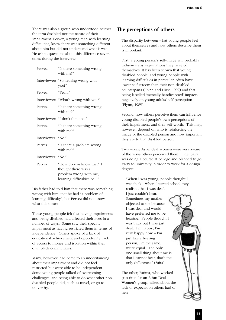There was also a group who understood neither the term disabled nor the nature of their impairment. Pervez, a young man with learning difficulties, knew there was something different about him but did not understand what it was. He asked questions about this difference several times during the interview:

| Pervez:            | "Is there something wrong<br>with me?"                                                                 |
|--------------------|--------------------------------------------------------------------------------------------------------|
|                    | Interviewer: "Something wrong with<br>you?"                                                            |
| Pervez:            | "Yeah."                                                                                                |
|                    | Interviewer: "What's wrong with you?"                                                                  |
| Pervez:            | "Is there something wrong<br>with me?"                                                                 |
|                    | Interviewer: "I don't think so."                                                                       |
| Pervez:            | "Is there something wrong<br>with me?"                                                                 |
| Interviewer: "No." |                                                                                                        |
| Pervez:            | "Is there a problem wrong<br>with me?"                                                                 |
| Interviewer: "No." |                                                                                                        |
| Pervez:            | "How do you know that? I<br>thought there was a<br>problem wrong with me,<br>learning difficulties or" |

His father had told him that there was something wrong with him, that he had "a problem of learning difficulty", but Pervez did not know what this meant.

These young people felt that having impairments and being disabled had affected their lives in a number of ways. Some saw their specific impairment as having restricted them in terms of independence. Others spoke of a lack of educational achievement and opportunity, lack of access to money and isolation within their own black communities.

Many, however, had come to an understanding about their impairment and did not feel restricted but were able to be independent. Some young people talked of overcoming challenges, and being able to do what other nondisabled people did, such as travel, or go to university.

# **The perceptions of others**

The disparity between what young people feel about themselves and how others describe them is important.

First, a young person's self-image will probably influence any expectations they have of themselves. It has been shown that young disabled people, and young people with learning difficulties in particular, often have lower self-esteem than their non-disabled counterparts (Flynn and Hirst, 1992) and that being labelled 'mentally handicapped' impacts negatively on young adults' self-perception (Flynn, 1989).

Second, how others perceive them can influence young disabled people's own perceptions of their impairment, and their self-worth. This may, however, depend on who is reinforcing the image of the disabled person and how important they are to that disabled person.

Two young Asian deaf women were very aware of the ways others perceived them. One, Saira, was doing a course at college and planned to go away to university in order to work for a design degree:

"When I was young, people thought I was thick. When I started school they realised that I was deaf.

I just couldn't hear. Sometimes my mother objected to me because I was deaf and would have preferred me to be hearing. People thought I was thick but I was just deaf. I'm happy, I'm very happy now – I'm just like a hearing person, I'm the same, we're equal. The only one small thing about me is that I cannot hear, that's the only difference." (Saira)

The other, Fatima, who worked part time for an Asian Deaf Women's group, talked about the lack of expectation others had of her:

मार्ग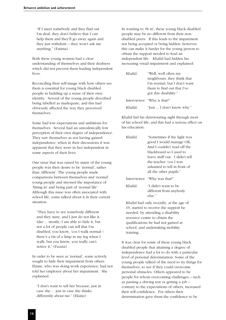"If I meet somebody and they find out I'm deaf, they don't believe that I can help them and they'll go away again and they just withdraw – they won't ask me anything." (Fatima)

Both these young women had a clear understanding of themselves and their deafness which did not prevent them leading independent lives.

Reconciling their self-image with how others see them is essential for young black disabled people in building up a sense of their own identity. Several of the young people described being labelled as inadequate, and this had obviously affected the way they perceived themselves.

Some had low expectations and ambitions for themselves. Several had an unrealistically low perception of their own degree of independence. They saw themselves as not having gained independence, when in their discussions it was apparent that they were in fact independent in some aspects of their lives.

One issue that was raised by many of the young people was their desire to be 'normal', rather than 'different'. The young people made comparisons between themselves and 'normal' young people and stressed the importance of 'fitting in' and being part of 'normal life'. Although this issue was often associated with school life, some talked about it in their current situation:

"They have to see somebody different and they stare, and I just do not like it. Like ... mostly, I am able to hide it, but not a lot of people can tell that I'm disabled, you know, 'cos I walk normal – there's a bit of a limp in my leg when I walk, but you know, you really can't notice it." (Fauzia)

In order to be seen as 'normal', some actively sought to hide their impairment from others. Elaine, who was doing work experience, had not told her employer about her impairment. She explained:

"I don't want to tell her because, just in case she ... just in case she thinks differently about me." (Elaine)

In wanting to 'fit in', these young black disabled people may be no different from their nondisabled peers. If this leads to the impairment not being accepted or being hidden, however, this can make it harder for the young person to obtain the support needed to lead an independent life. Khalid had hidden his increasing visual impairment and explained:

| Khalid: | "Well, well often my<br>neighbours, they think that<br>I'm normal, but I don't want<br>them to find out that I've<br>got this disability." |
|---------|--------------------------------------------------------------------------------------------------------------------------------------------|
|         | Interviewer: "Why is that?"                                                                                                                |
| Khalid· | "Just  I don't know why."                                                                                                                  |

Khalid hid his deteriorating sight through most of his school life, and this had a serious effect on his education:

| Khalid: | "Sometimes if the light was    |
|---------|--------------------------------|
|         | good I would manage OK.        |
|         | And I couldn't read off the    |
|         | blackboard so I used to        |
|         | leave stuff out. I didn't tell |
|         | the teacher 'cos I was         |
|         | ashamed to tell in front of    |
|         | all the other pupils."         |
|         | Interviewer: "Why was that?"   |
| Khalid· | "I didn't want to be           |
|         | different from anybody         |
|         | else."                         |

Khalid had only recently, at the age of 19, started to receive the support he needed, by attending a disability resource centre to obtain the qualifications he had not gained at school, and undertaking mobility training.

It was clear for some of these young black disabled people that attaining a degree of independence had a lot to do with a particular level of personal determination. Some of the young people talked of the need to try things for themselves, to see if they could overcome personal obstacles. Others appeared to be people for whom overcoming challenges – such as passing a driving test or getting a job – contrary to the expectations of others, increased their self-confidence. For others their determination gave them the confidence to be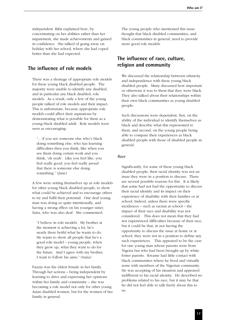independent. Rifat explained how, by concentrating on her abilities rather than her impairment, she made achievements and gained in confidence. She talked of going away on holiday with her school, where she had coped better than she had expected.

### **The influence of role models**

There was a shortage of appropriate role models for these young black disabled people. The majority were unable to identify any disabled, and in particular any black disabled, role models. As a result, only a few of the young people talked of role models and their impact. This is unfortunate, because appropriate role models could affect their aspirations by demonstrating what is possible for them as a young black disabled adult. Role models were seen as encouraging:

"... if you see someone else who's black doing something else, who has learning difficulties then you think, like when you see them doing certain work and you think, 'oh yeah'. Like you feel like, you feel really good, you feel really proud that there is someone else doing something." (Jane)

A few were setting themselves up as role models for other young black disabled people, to show what could be achieved and to encourage others to try and fulfil their potential. One deaf young man was doing so quite intentionally, and having a strong effect on his younger sister, Saira, who was also deaf. She commented:

"I believe in role models. My brother at the moment is achieving a lot, he's nearly there [with] what he wants to do. He wants to show all people that he's a good role model – young people, when they grow up, what they want to do for the future. And I agree with my brother, I want to follow his aims." (Saira)

Fauzia was the eldest female in her family. Through her actions – being independent by learning to drive and expressing her opinions within her family and community – she was becoming a role model not only for other young Asian disabled women, but for the women of her family in general.

The young people who mentioned this issue thought that black disabled communities, and black communities in general, need to provide more good role models.

# **The influence of race, culture, religion and community**

We discussed the relationship between ethnicity and independence with these young black disabled people. Many discussed how important or otherwise it was to them that they were black. They also talked about their relationships within their own black communities as young disabled people.

Such discussions were dependent, first, on the ability of the individual to identify themselves as black and describe what this represented to them, and second, on the young people being able to compare their experiences as black disabled people with those of disabled people in general.

#### *Race*

Significantly, for some of these young black disabled people, their racial identity was not an issue they were in a position to discuss. There are several possible reasons for this. It is likely that some had not had the opportunity to discuss their racial identity and its impact on their experience of disability with their families or at school. Indeed, unless there were specific incidences – such as racism at school – the impact of their race and disability was not considered. This does not mean that they had not experienced difficulties because of their race, but it could be that, in not having the opportunity to discuss the issue at home or at school, they were not in a position to define any such experiences. This appeared to be the case for one young man whose parents were from Nigeria but who had been brought up by white foster parents. Kwame had little contact with black communities where he lived and virtually none with members of the Nigerian community. He was accepting of his situation and appeared indifferent to his racial identity. He described no problems related to his race, but it may be that he did not feel able to talk freely about this to us.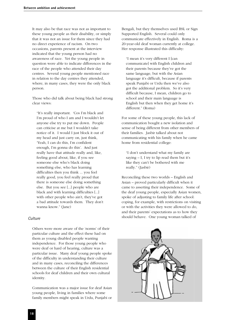It may also be that race was not as important to these young people as their disability, or simply that it was not an issue for them since they had no direct experience of racism. On two occasions, parents present at the interview indicated that the young person had no awareness of race. Yet the young people in question were able to indicate differences in the race of the people who attended their day centres. Several young people mentioned race in relation to the day centres they attended, where, in many cases, they were the only black person.

Those who did talk about being black had strong clear views:

"It's really important. 'Cos I'm black and I'm proud of who I am and I wouldn't let anyone else try to put me down. People can criticise at me but I wouldn't take notice of it. I would I just block it out of my head and just carry on, just think, 'Yeah, I can do this, I'm confident enough, I'm gonna do this'. And just really have that attitude really and, like, feeling good about, like, if you see someone else who's black doing something else, who has learning difficulties then you think ... you feel really good, you feel really proud that there is someone else doing something else. But you see [...] people who are black and with learning difficulties [...] with other people who ain't, they've got a bad attitude towards them. They don't wanna know." (Jane)

#### *Culture*

Others were more aware of the 'norms' of their particular culture and the effect these had on them as young disabled people wanting independence. For those young people who were deaf or hard of hearing, culture was a particular issue. Many deaf young people spoke of the difficulty in understanding their culture and in many cases, reconciling the differences between the culture of their English residential schools for deaf children and their own cultural identity.

Communication was a major issue for deaf Asian young people, living in families where some family members might speak in Urdu, Punjabi or

Bengali, but they themselves used BSL or Sign Supported English. Several could only communicate effectively in English. Roma is a 20-year-old deaf woman currently at college. Her response illustrated this difficulty:

"I mean it's very different I [can communicate] with English children and their parents because they've got the same language, but with the Asian language it's difficult, because if parents speak Punjabi or Urdu then we've also got the additional problem. So it's very difficult because, I mean, children go to school and their main language is English but then when they get home it's different." (Roma)

For some of these young people, this lack of communication bought a new isolation and sense of being different from other members of their families. Jasbir talked about not communicating with his family when he came home from residential college:

"I don't understand what my family are saying  $- I$ , I try to lip read them but it's like they can't be bothered with me really." (Jasbir)

Reconciling these two worlds – English and Asian – proved particularly difficult when it came to asserting their independence. Some of the deaf young people, especially Asian women, spoke of adjusting to family life after school: coping, for example, with restrictions on visiting or with the activities they were allowed to do, and their parents' expectations as to how they should behave. One young woman talked of

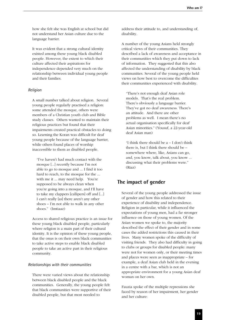how she felt she was English at school but did not understand her Asian culture due to the language barrier.

It was evident that a strong cultural identity existed among these young black disabled people. However, the extent to which their culture affected their aspirations for independence depended very much on the relationship between individual young people and their families.

#### *Religion*

A small number talked about religion. Several young people regularly practised a religion: some attended the mosque, others were members of a Christian youth club and Bible study classes. Others wanted to maintain their religious practices but found that their impairments created practical obstacles to doing so. Learning the Koran was difficult for deaf young people because of the language barrier, while others found places of worship inaccessible to them as disabled people.

"I've haven't had much contact with the mosque [...] recently because I'm not able to go to mosque and ... I find it too hard to reach, to the mosque for the ... with me it ... may need help. You're supposed to be always clean when you're going into a mosque, and I'll have to take my clappers [callipers] off and [...] I can't really [as] there aren't any other shoes – I'm not able to walk in any other shoes." (Imtiaaz)

Access to shared religious practice is an issue for these young black disabled people, particularly where religion is a main part of their cultural identity. It is the opinion of these young people, that the onus is on their own black communities to take active steps to enable black disabled people to take an active part in their religious community.

#### *Relationships with their communities*

There were varied views about the relationship between black disabled people and the black communities. Generally, the young people felt that black communities were supportive of their disabled people, but that most needed to

address their attitude to, and understanding of, disability.

A number of the young Asians held strongly critical views of their communities. They described a lack of awareness and acceptance in their communities which they put down to lack of information. They suggested that this also affected the understanding of disability by black communities. Several of the young people held views on how best to overcome the difficulties their communities experienced with disability.

"There's not enough deaf Asian role models. That's the real problem. There's obviously a language barrier. They've got no deaf awareness. There's an attitude. And there are other problems as well. I mean there's no actual organisation specifically for deaf Asian minorities." (Yousuf, a 22-year-old deaf Asian man)

"I think there should be  $a - I$  don't think there is, but I think there should be – somewhere where, like, Asians can go, and, you know, talk about, you know ... discussing what their problems were." (Riaz)

#### **The impact of gender**

Several of the young people addressed the issue of gender and how this related to their experience of disability and independence. Religion in particular, while it influenced the expectations of young men, had a far stronger influence on those of young women. Of the Asian women we spoke to, the majority described the effect of their gender and in some cases the added restrictions this caused in their lives. Many women spoke of the difficulty of visiting friends. They also had difficulty in going to clubs or groups for disabled people: many were not for women only, or their meeting times and places were seen as inappropriate – for example, a deaf Asian club held in the evening in a centre with a bar, which is not an appropriate environment for a young Asian deaf woman on her own.

Fauzia spoke of the multiple repressions she faced by reason of her impairment, her gender and her culture: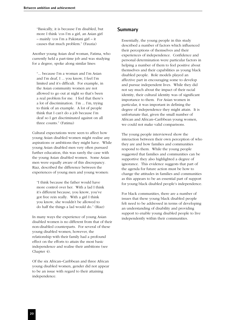"Basically, it is because I'm disabled, but more I think 'cos I'm a girl, an Asian girl – mainly 'cos I'm a Pakistani girl – it causes that much problem." (Fauzia)

Another young Asian deaf woman, Fatima, who currently held a part-time job and was studying for a degree, spoke along similar lines:

"... because I'm a woman and I'm Asian and I'm deaf, I ... you know, I feel I'm limited and it's difficult. For example, in the Asian community women are not allowed to go out at night so that's been a real problem for me. I feel that there's a lot of discrimination. I'm ... I'm, trying to think of an example. A lot of people think that I can't do a job because I'm deaf so I get discriminated against on all three counts." (Fatima)

Cultural expectations were seen to affect how young Asian disabled women might realise any aspirations or ambitions they might have. While young Asian disabled men very often pursued further education, this was rarely the case with the young Asian disabled women. Some Asian men were equally aware of this discrepancy. Riaz, described the difference between the experiences of young men and young women:

"I think because the father would have more control over her. With a lad I think it's different because, you know, you've got free rein really. With a girl I think you know, she wouldn't be allowed to do half the things a lad would do." (Riaz)

In many ways the experience of young Asian disabled women is no different from that of their non-disabled counterparts. For several of these young disabled women, however, the relationship with their family had a profound effect on the efforts to attain the most basic independence and realise their ambitions (see Chapter 4).

Of the six African–Caribbean and three African young disabled women, gender did not appear to be an issue with regard to their attaining independence.

#### **Summary**

Essentially, the young people in this study described a number of factors which influenced their perceptions of themselves and their experiences of independence. Confidence and personal determination were particular factors in helping a number of them to feel positive about themselves and their capabilities as young black disabled people. Role models played an affective part in encouraging some to develop and pursue independent lives. While they did not say much about the impact of their racial identity, their cultural identity was of significant importance to them. For Asian women in particular, it was important in defining the degree of independence they might attain. It is unfortunate that, given the small number of African and African–Caribbean young women, we could not make valid comparisons.

The young people interviewed show the interaction between their own perception of who they are and how families and communities respond to them. While the young people suggested that families and communities can be supportive they also highlighted a degree of ignorance. This evidence suggests that part of the agenda for future action must be how to change the attitudes in families and communities as this appears to be an essential part of support for young black disabled people's independence.

For black communities, there are a number of issues that these young black disabled people felt need to be addressed in terms of developing an understanding of disability and providing support to enable young disabled people to live independently within their communities.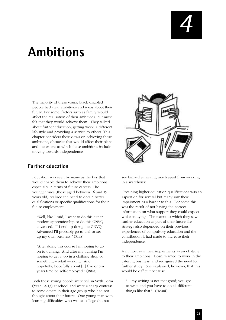# **Ambitions**

The majority of these young black disabled people had clear ambitions and ideas about their future. For some, factors such as family would affect the realisation of their ambitions, but most felt that they would achieve them. They talked about further education, getting work, a different life-style and providing a service to others. This chapter considers their views on achieving these ambitions, obstacles that would affect their plans and the extent to which these ambitions include moving towards independence.

# **Further education**

Education was seen by many as the key that would enable them to achieve their ambitions, especially in terms of future careers. The younger ones (those aged between 16 and 19 years old) realised the need to obtain better qualifications or specific qualifications for their future employment.

"Well, like I said, I want to do this either modern apprenticeship or do this GNVQ advanced. If I end up doing the GNVQ Advanced I'll probably go to uni, or set up my own business." (Riaz)

"After doing this course I'm hoping to go on to training. And after my training I'm hoping to get a job in a clothing shop or something – retail working. And hopefully, hopefully about [...] five or ten years time be self-employed." (Rifat)

Both these young people were still in Sixth Form (Year 12/13) at school and were a sharp contrast to some others in their age group who had not thought about their future. One young man with learning difficulties who was at college did not



see himself achieving much apart from working in a warehouse.

Obtaining higher education qualifications was an aspiration for several but many saw their impairment as a barrier to this. For some this was the result of not having the correct information on what support they could expect while studying. The extent to which they saw further education as part of their future life strategy also depended on their previous experiences of compulsory education and the contribution it had made to increase their independence.

A number saw their impairments as an obstacle to their ambitions. Hosni wanted to work in the catering business, and recognised the need for further study. She explained, however, that this would be difficult because:

"... my writing is not that good; you got to write and you have to do all different things like that." (Hosni)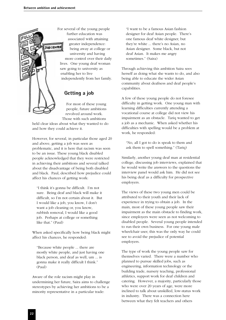For several of the young people further education was associated with attaining greater independence: **TOBCENTRE** being away at college or university and having more control over their daily lives. One young deaf woman saw going to university as enabling her to live independently from her family.

# **Getting a job**

For most of these young people, future ambitions revolved around work. Those with such ambitions

held clear ideas about what they wanted to do and how they could achieve it.

However, for several, in particular those aged 20 and above, getting a job was seen as problematic, and it is here that racism was seen to be an issue. These young black disabled people acknowledged that they were restricted in achieving their ambitions and several talked about the disadvantage of being both disabled and black. Paul, described how prejudice could affect his chances of getting work:

"I think it's gonna be difficult. I'm not sure. Being deaf and black will make it difficult, so I'm not certain about it. But I would like a job, you know, I don't want a job cleaning or, you know, rubbish removal, I would like a good job. Perhaps at college or something like that." (Paul)

When asked specifically how being black might affect his chances, he responded:

"Because white people ... there are mostly white people, and just having one black person, and deaf as well, um ... is gonna make it really difficult I think." (Paul)

Aware of the role racism might play in undermining her future, Saira aims to challenge stereotypes by achieving her ambitions to be a minority representative in a particular trade:

"I want to be a famous Asian fashion designer for deaf Asian people. There's one famous deaf white designer, but they're white ... there's no Asian, no Asian designer. Some black, but not deaf Asian. It makes me angry sometimes." (Saira)

Through achieving this ambition Saira sees herself as doing what she wants to do, and also being able to educate the wider Asian community about deafness and deaf people's capabilities.

A few of these young people do not foresee difficulty in getting work. One young man with learning difficulties currently attending a vocational course at college did not view his impairment as an obstacle. Tariq wanted to get a job as a mechanic. When asked whether his difficulties with spelling would be a problem at work, he responded:

"No, all I got to do is speak to them and ask them to spell something." (Tariq)

Similarly, another young deaf man at residential college, discussing job interviews, explained that he would write the answers to the questions the interview panel would ask him. He did not see his being deaf as a difficulty for prospective employers.

The views of these two young men could be attributed to their youth and their lack of experience in trying to obtain a job. In the main, most of these young people saw their impairment as the main obstacle to finding work, since employers were seen as not welcoming to disabled people. Several young people intended to run their own business. For one young male wheelchair user, this was the only way he could see to avoid the prejudice of potential employers.

The type of work the young people saw for themselves varied. There were a number who planned to pursue skilled jobs, such as engineering, information technology or the building trade, nursery teaching, professional athletics, support work for deaf children and catering. However, a majority, particularly those who were over 20 years of age, were more inclined to talk about unskilled, low-status work in industry. There was a connection here between what they felt teachers and others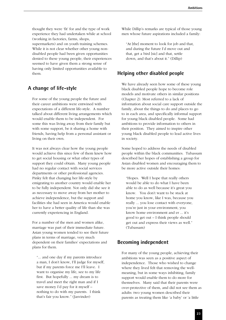thought they were 'fit' for and the type of work experience they had undertaken while at school (working in factories, farms, shops, supermarkets) and on youth training schemes. While it is not clear whether other young nondisabled people had been given opportunities denied to these young people, their experiences seemed to have given them a strong sense of having only limited opportunities available to them.

# **A change of life-style**

For some of the young people the future and their career ambitions were entwined with expectations of a different life-style. A number talked about different living arrangements which would enable them to be independent. For some this was living away from their family but with some support, be it sharing a home with friends, having help from a personal assistant or living on their own.

It was not always clear how the young people would achieve this since few of them knew how to get social housing or what other types of support they could obtain. Many young people had no regular contact with social services departments or other professional agencies. Pinky felt that changing her life-style by emigrating to another country would enable her to be fully independent. Not only did she see it as necessary to move away from her mother to achieve independence, but the support and facilities she had seen in America would enable her to have a better quality of life than she was currently experiencing in England.

For a number of the men and women alike, marriage was part of their immediate future. Asian young women tended to see their future plans in terms of marriage, very much dependent on their families' expectations and plans for them.

"... and one day if my parents introduce a man, I don't know, I'll judge for myself, but if my parents force me I'll leave. I want to organise my life, see to my life first. But hopefully ... my dream is to travel and meet the right man and if I save money I'd pay for it myself – nothing to do with my parents. I think that's fair you know." (Jasvinder)

While Dillip's remarks are typical of those young men whose future aspirations included a family:

"At [the] moment to look for job and that, and during the future I'd move out and that, get a bird [sic] and that, settle down, and that's about it." (Dillip)

# **Helping other disabled people**

We have already seen how some of these young black disabled people hope to become role models and motivate others in similar positions (Chapter 2). Most referred to a lack of information about social care support outside the family, about the things to do and places to go to in each area, and specifically informal support for young black disabled people. Some had ambitions to provide information to others in their position. They aimed to inspire other young black disabled people to lead active lives in society.

Some hoped to address the needs of disabled people within the black communities. Tubassam described her hopes of establishing a group for Asian disabled women and encouraging them to be more active outside their homes:

"Hopes. Well I hope that really others would be able to do what I have been able to do as well because it's great you know. You don't want to be stuck at home you know, like I was, because you really ... you lose contact with everyone, you're just in your environment, you know home environment and er ... it's good to get out – I think people should get out and express their views as well." (Tubassam)

# **Becoming independent**

For many of the young people, achieving their ambitions was seen as a positive aspect of independence. Those who wished to change where they lived felt that removing the wellmeaning, but in some ways inhibiting, family support would enable them to do more for themselves. Many said that their parents were over-protective of them, and did not see them as adults: two young women described their parents as treating them like 'a baby' or 'a little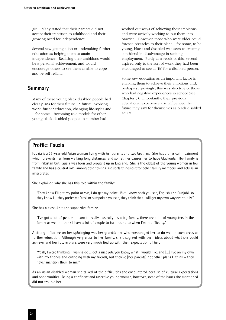girl'. Many stated that their parents did not accept their transition to adulthood and their growing need for independence.

Several saw getting a job or undertaking further education as helping them to attain independence. Realising their ambitions would be a personal achievement, and would encourage others to see them as able to cope and be self-reliant.

#### **Summary**

Many of these young black disabled people had clear plans for their future. A future involving work, further education, changing life-styles and – for some – becoming role models for other young black disabled people. A number had

worked out ways of achieving their ambitions and were actively working to put them into practice. However, those who were older could foresee obstacles to their plans – for some, to be young, black and disabled was seen as creating considerable disadvantage in seeking employment. Partly as a result of this, several aspired only to the sort of work they had been encouraged to see as 'fit' for a disabled person.

Some saw education as an important factor in enabling them to achieve their ambitions and, perhaps surprisingly, this was also true of those who had negative experiences in school (see Chapter 5). Importantly, their previous educational experience also influenced the future they saw for themselves as black disabled adults.

# **Profile: Fauzia**

Fauzia is a 25-year-old Asian woman living with her parents and two brothers. She has a physical impairment which prevents her from walking long distances, and sometimes causes her to have blackouts. Her family is from Pakistan but Fauzia was born and brought up in England. She is the eldest of the young women in her family and has a central role: among other things, she sorts things out for other family members, and acts as an interpreter.

She explained why she has this role within the family:

"They know I'll get my point across, I do get my point. But I know both you see, English and Punjabi, so they know I ... they prefer me 'cos I'm outspoken you see, they think that I will get my own way eventually."

She has a close-knit and supportive family:

"I've got a lot of people to turn to really, basically it's a big family, there are a lot of youngsters in the family as well – I think I have a lot of people to turn round to when I'm in difficulty."

A strong influence on her upbringing was her grandfather who encouraged her to do well in such areas as further education. Although very close to her family, she disagreed with their ideas about what she could achieve, and her future plans were very much tied up with their expectation of her:

"Yeah, I were thinking, I wanna do ... get a nice job, you know, what I would like, and [...] live on my own with my friends and outgoing with my friends, but they've [her parents] got other plans I think – they never mention them to me."

As an Asian disabled woman she talked of the difficulties she encountered because of cultural expectations and opportunities. Being a confident and assertive young woman, however, some of the issues she mentioned did not trouble her.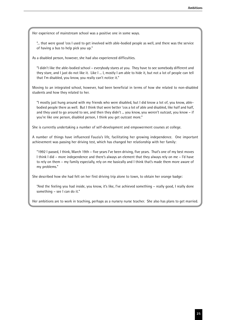Her experience of mainstream school was a positive one in some ways.

"... that were good 'cos I used to get involved with able-bodied people as well, and there was the service of having a bus to help pick you up."

As a disabled person, however, she had also experienced difficulties.

"I didn't like the able-bodied school – everybody stares at you. They have to see somebody different and they stare, and I just do not like it. Like I ... I, mostly I am able to hide it, but not a lot of people can tell that I'm disabled, you know, you really can't notice it."

Moving to an integrated school, however, had been beneficial in terms of how she related to non-disabled students and how they related to her.

"I mostly just hung around with my friends who were disabled, but I did know a lot of, you know, ablebodied people there as well. But I think that were better 'cos a lot of able and disabled, like half and half, and they used to go around to see, and then they didn't ... you know, you weren't outcast, you know – if you're like one person, disabled person, I think you get outcast more."

She is currently undertaking a number of self-development and empowerment courses at college.

A number of things have influenced Fauzia's life, facilitating her growing independence. One important achievement was passing her driving test, which has changed her relationship with her family:

"1992 I passed, I think, March 19th – five years I've been driving, five years. That's one of my best moves I think I did – more independence and there's always an element that they always rely on me – I'd have to rely on them – my family especially, rely on me basically and I think that's made them more aware of my problems."

She described how she had felt on her first driving trip alone to town, to obtain her orange badge:

"And the feeling you had inside, you know, it's like, I've achieved something – really good, I really done something – see I can do it."

Her ambitions are to work in teaching, perhaps as a nursery nurse teacher. She also has plans to get married.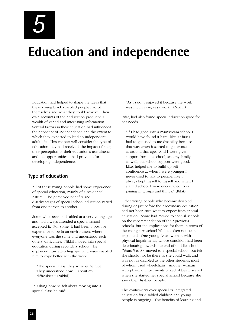*5*

# **Education and independence**

Education had helped to shape the ideas that these young black disabled people had of themselves and what they could achieve. Their own accounts of their education produced a wealth of varied and interesting information. Several factors in their education had influenced their concept of independence and the extent to which they expected to lead an independent adult life. This chapter will consider the type of education they had received; the impact of race; their perception of their education's usefulness; and the opportunities it had provided for developing independence.

### **Type of education**

All of these young people had some experience of special education, mainly of a residential nature. The perceived benefits and disadvantages of special school education varied from one person to another.

Some who became disabled at a very young age and had always attended a special school accepted it. For some, it had been a positive experience to be in an environment where everyone was the same and understood each others' difficulties. Nikhil moved into special education during secondary school. He explained how attending special classes enabled him to cope better with the work:

"The special class, they were quite nice. They understood how ... about my difficulties." (Nikhil)

In asking how he felt about moving into a special class he said:

"As I said, I enjoyed it because the work was much easy, easy work." (Nikhil)

Rifat, had also found special education good for her needs:

"If I had gone into a mainstream school I would have found it hard, like, at first I had to get used to me disability because that was when it started to get worse – at around that age. And I were given support from the school, and my family as well, but school support were good. Like, helped me to build up selfconfidence ... when I were younger I never used to talk to people, like I always kept myself to myself and when I started school I were encouraged to er ... joining in groups and things." (Rifat)

Other young people who became disabled during or just before their secondary education had not been sure what to expect from special education. Some had moved to special schools on the recommendation of their previous schools, but the implications for them in terms of the changes in school life had often not been explained. One young Asian woman with physical impairments, whose condition had been deteriorating towards the end of middle school (Years 5 to 8), moved to a special school, but felt she should not be there as she could walk and was not as disabled as the other students, most of whom used wheelchairs. Another woman with physical impairments talked of being scared when she started her special school because she saw other disabled people.

The controversy over special or integrated education for disabled children and young people is ongoing. The benefits of learning and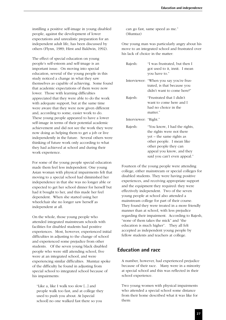instilling a positive self-image in young disabled people, against the development of lower expectations and unrealistic preparation for an independent adult life, has been discussed by others (Flynn, 1989; Hirst and Baldwin, 1992).

The effect of special education on young people's self-esteem and self-image is an important issue. On moving into special education, several of the young people in this study noticed a change in what they saw themselves as capable of achieving. Some found that academic expectations of them were now lower. Those with learning difficulties appreciated that they were able to do the work with adequate support, but at the same time were aware that they were now given different and, according to some, easier work to do. These young people appeared to have a lower self-image in terms of their potential academic achievement and did not see the work they were now doing as helping them to get a job or live independently in the future. Several others were thinking of future work only according to what they had achieved at school and during their work experience.

For some of the young people special education made them feel less independent. One young Asian woman with physical impairments felt that moving to a special school had diminished her independence in that she was no longer able or expected to get her school dinner for herself but had it bought to her, and this made her feel dependent. When she started using her wheelchair she no longer saw herself as independent at all.

On the whole, those young people who attended integrated mainstream schools with facilities for disabled students had positive experiences. Most, however, experienced initial difficulties in adjusting to the change of school and experienced some prejudice from other students. Of the seven young black disabled people who were still attending school, five were at an integrated school, and were experiencing similar difficulties. Mumtaz spoke of the difficulty he found in adjusting from special school to integrated school because of his impairments:

"Like a, like I walk too slow [...] and people walk too fast, and at college they used to push you about. At [special school] no one walked fast there so you

can go fast, same speed as me." (Mumtaz)

One young man was particularly angry about his move to an integrated school and frustrated over his lack of choice in the matter:

| Rajesh:               | "I was frustrated, but then I<br>got used to it, innit. I mean<br>you have to."                                                                                                                          |
|-----------------------|----------------------------------------------------------------------------------------------------------------------------------------------------------------------------------------------------------|
| Interviewer:          | "When you say you're frus-<br>trated, is that because you<br>didn't want to come here?"                                                                                                                  |
| Rajesh:               | "Frustrated that I didn't<br>want to come here and I<br>had no choice in the<br>matter."                                                                                                                 |
| Interviewer: "Right." |                                                                                                                                                                                                          |
| Rajesh:               | "You know, I had the rights,<br>the rights were not there<br>yet – the same rights as<br>other people. I mean like<br>other people they can<br>appeal you know, and they<br>said you can't even appeal." |

Fourteen of the young people were attending college, either mainstream or special colleges for disabled students. They were having positive experiences, and receiving appropriate support and the equipment they required: they were effectively independent. Two of the seven young people at school also attended a mainstream college for part of their course. They found they were treated in a more friendly manner than at school, with less prejudice regarding their impairment. According to Rajesh, "none of them takes the mick" and "the education is much higher". They all felt accepted as independent young people by fellow students and teachers at college.

### **Education and race**

A number, however, had experienced prejudice because of their race. Many were in a minority at special school and this was reflected in their school experience.

Two young women with physical impairments who attended a special school some distance from their home described what it was like for them: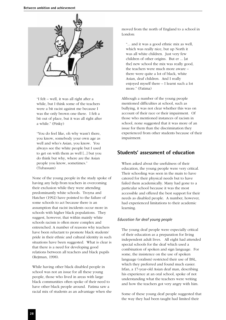

"I felt – well, it was all right after a while, but I think some of the teachers were a bit racist against me because I was the only brown one there. I felt a bit out of place, but it was all right after a while." (Pinky)

"You do feel like, oh why wasn't there, you know, somebody your own age as well and who's Asian, you know. You always see the white people but I used to get on with them as well [...] but you do think but why, where are the Asian people you know, sometimes." (Tubassam)

None of the young people in the study spoke of having any help from teachers in overcoming their exclusion while they were attending predominantly white schools. Troyna and Hatcher (1992) have pointed to the failure of some schools to act because there is an assumption that racist incidents occur more in schools with higher black populations. They suggest, however, that within mainly white schools racism is often more complex and entrenched. A number of reasons why teachers have been reluctant to promote black students' pride in their ethnic and cultural identity in such situations have been suggested. What is clear is that there is a need for developing good relations between all teachers and black pupils (Rejtman, 1998).

While having other black disabled people in school was not an issue for all these young people, those who lived in areas with large black communities often spoke of their need to have other black people around. Fatima saw a racial mix of students as an advantage when she moved from the north of England to a school in London:

"... and it was a good ethnic mix as well, which was really nice, but up North it was all white children. Just very few children of other origins. But er ... [at the] new school the mix was really good, the teachers were much more aware – there were quite a lot of black, white Asian, deaf children. And I really enjoyed myself there – I learnt such a lot more." (Fatima)

Although a number of the young people mentioned difficulties at school, such as bullying, it was not clear whether this was on account of their race or their impairment. Of those who mentioned instances of racism in school, none suggested that it was more of an issue for them than the discrimination they experienced from other students because of their impairment.

# **Students' assessment of education**

When asked about the usefulness of their education, the young people were very critical. Their schooling was seen in the main to have catered for their physical needs but to have failed them academically. Many had gone to a particular school because it was the most accessible and offered the best support for their needs as disabled people. A number, however, had experienced limitations to their academic learning.

#### *Education for deaf young people*

The young deaf people were especially critical of their education as a preparation for living independent adult lives. All eight had attended special schools for the deaf which used a combination of spoken and sign language. For some, the insistence on the use of spoken language (oralism) restricted their use of BSL, which they preferred and found much easier. Irfan, a 17-year-old Asian deaf man, describing his experience at an oral school, spoke of not understanding what the teachers were writing and how the teachers got very angry with him.

Some of these young deaf people suggested that the way they had been taught had limited their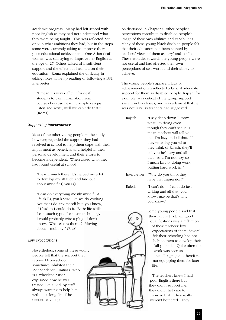academic progress. Many had left school with poor English as they had not understood what they were being taught. This was reflected not only in what ambitions they had, but in the steps some were currently taking to improve their poor educational achievement. One Asian deaf woman was still trying to improve her English at the age of 27. Others talked of insufficient support and the effect this had had on their education. Roma explained the difficulty in taking notes while lip reading or following a BSL interpreter:

"I mean it's very difficult for deaf students to gain information from courses because hearing people can just listen and write, well we can't do that." (Roma)

#### *Supporting independence*

Most of the other young people in the study, however, regarded the support they had received at school to help them cope with their impairment as beneficial and helpful in their personal development and their efforts to become independent. When asked what they had found useful at school:

"I learnt much there. It's helped me a lot to develop my attitude and find out about myself." (Imtiaaz)

"I can do everything mostly myself. All life skills, you know, like we do cooking. Not that I do any meself but, you know, if I had to I could do it. Basic life skills. I can touch type. I can use technology. I could probably wire a plug. I don't know. What else is there...? Moving about – mobility." (Riaz)

#### *Low expectations*

Nevertheless, some of these young people felt that the support they received from school sometimes inhibited their independence. Imtiaaz, who is a wheelchair user, explained how he was treated like a 'kid' by staff always wanting to help him without asking first if he needed any help.

As discussed in Chapter 4, other people's perceptions contribute to disabled people's image of their own abilities and capabilities. Many of these young black disabled people felt that their education had been stunted by teachers' views of them as 'lazy' and 'difficult'. These attitudes towards the young people were not useful and had affected their own perceptions of self-worth and their ability to achieve.

The young people's apparent lack of achievement often reflected a lack of adequate support for them as disabled people. Rajesh, for example, was critical of the group support system in his classes, and was adamant that he was not lazy, as teachers had suggested:

Rajesh: "I say deep down I know what I'm doing even though they can't see it. I mean teachers will tell you that I'm lazy and all that. If they're telling you what they think of Rajesh, they'll tell you he's lazy and all that. And I'm not lazy so – I mean lazy at doing work, putting hard work in."

Interviewer: "Why do you think they have that impression?"

Rajesh: "I can't do ... I can't do fast writing and all that, you know, maybe that's why you know."

> Some young people said that their failure to obtain good qualifications was a reflection of their teachers' low expectations of them. Several felt their schooling had not helped them to develop their full potential. Quite often the work was seen as unchallenging and therefore not equipping them for later life.

"The teachers knew I had poor English there but they didn't support me, they didn't help me to improve that. They really weren't bothered. They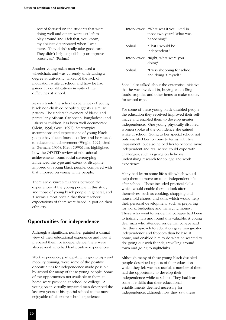sort of focused on the students that were doing well and others were just left to play around and I felt that, you know, my abilities deteriorated when I was there. They didn't really take good care. They didn't help us polish up or improve ourselves." (Fatima)

Another young Asian man who used a wheelchair, and was currently undertaking a degree at university, talked of the lack of motivation while at school and how he had gained his qualifications in spite of the difficulties at school.

Research into the school experiences of young black non-disabled people suggests a similar pattern. The underachievement of black, and particularly African–Caribbean, Bangladeshi and Pakistani children, has been well documented (Klein, 1996; Gore, 1997). Stereotypical assumptions and expectations of young black people have been found to affect and be related to educational achievement (Wright, 1992, cited in German, 1996). Klein (1996) has highlighted how the OFSTED review of educational achievements found racial stereotyping influenced the type and extent of discipline imposed on young black people, compared with that imposed on young white people.

There are distinct similarities between the experiences of the young people in this study and those of young black people in general, and it seems almost certain that their teachers' expectations of them were based in part on their ethnicity.

# **Opportunities for independence**

Although a significant number painted a dismal view of their educational experience and how it prepared them for independence, there were also several who had had positive experiences.

Work experience, participating in group trips and mobility training, were some of the positive opportunities for independence made possible by school for many of these young people. Some of the opportunities not available to them at home were provided at school or college. A young Asian visually impaired man described the last two years at his special school as the most enjoyable of his entire school experience:

|         | Interviewer: "What was it you liked in<br>those two years? What was<br>happening?" |
|---------|------------------------------------------------------------------------------------|
| Sohail: | "That I would be<br>independent."                                                  |
|         | Interviewer: "Right, what were you<br>doing?"                                      |
| Sohail: | "I was shopping for school<br>and doing it myself."                                |

Sohail also talked about the enterprise initiative that he was involved in, buying and selling foods, trophies and other items to make money for school trips.

For some of these young black disabled people the education they received improved their selfimage and enabled them to develop greater independence. One young physically disabled women spoke of the confidence she gained while at school. Going to her special school not only enabled her to come to terms with her impairment, but also helped her to become more independent and realise she could cope with challenges, such as going on holidays, undertaking research for college and work experience.

Many had learnt some life skills which would help them to move on to an independent life after school. These included practical skills which would enable them to look after themselves, such as cooking, shopping and household chores, and skills which would help their personal development, such as preparing for work, budgeting and managing money. Those who went to residential colleges had been to training flats and found this valuable. A young deaf man who attended residential college said that this approach to education gave him greater independence and freedom than he had at home, and enabled him to do what he wanted to do: going out with friends, travelling around town and going to nightclubs.

Although many of these young black disabled people described aspects of their education which they felt was not useful, a number of them had the opportunity to develop their independence while at school. They had learnt some life skills that their educational establishments deemed necessary for independence, although how they saw these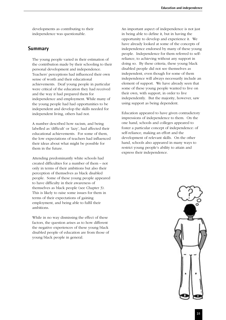developments as contributing to their independence was questionable.

### **Summary**

The young people varied in their estimation of the contribution made by their schooling to their personal development and independence. Teachers' perceptions had influenced their own sense of worth and their educational achievements. Deaf young people in particular were critical of the education they had received and the way it had prepared them for independence and employment. While many of the young people had had opportunities to be independent and develop the skills needed for independent living, others had not.

A number described how racism, and being labelled as 'difficult' or 'lazy', had affected their educational achievements. For some of them, the low expectations of teachers had influenced their ideas about what might be possible for them in the future.

Attending predominantly white schools had created difficulties for a number of them – not only in terms of their ambitions but also their perception of themselves as black disabled people. Some of these young people appeared to have difficulty in their awareness of themselves as black people (see Chapter 3). This is likely to raise some issues for them in terms of their expectations of gaining employment, and being able to fulfil their ambitions.

While in no way dismissing the effect of these factors, the question arises as to how different the negative experiences of these young black disabled people of education are from those of young black people in general.

An important aspect of independence is not just in being able to define it, but in having the opportunity to develop and experience it. We have already looked at some of the concepts of independence endorsed by many of these young people. Independence for them referred to selfreliance, to achieving without any support in doing so. By these criteria, these young black disabled people did not see themselves as independent, even though for some of them independence will always necessarily include an element of support. We have already seen that some of these young people wanted to live on their own, with support, in order to live independently. But the majority, however, saw using support as being dependent.

Education appeared to have given contradictory impressions of independence to them. On the one hand, schools and colleges appeared to foster a particular concept of independence: of self-reliance, making an effort and the development of relevant skills. On the other hand, schools also appeared in many ways to restrict young people's ability to attain and express their independence.

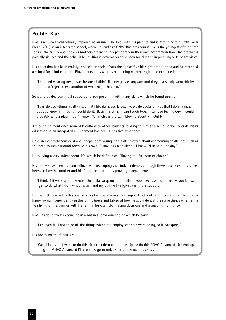# **Profile: Riaz**

Riaz is a 17-year-old visually impaired Asian man. He lives with his parents and is attending the Sixth Form (Year 12/13) at an integrated school, where he studies a GNVQ Business course. He is the youngest of the three sons in the family and both his brothers are living independently in their own accommodation. One brother is partially sighted and the other is blind. Riaz is extremely active both socially and in pursuing outside activities.

His education has been mainly in special schools. From the age of five his sight deteriorated and he attended a school for blind children. Riaz understands what is happening with his sight and explained:

"I stopped wearing my glasses because I didn't like my glasses anyway, and they just slowly went, bit by bit. I didn't get no explanation of what might happen."

School provided continual support and equipped him with many skills which he found useful.

"I can do everything mostly myself. All life skills, you know, like we do cooking. Not that I do any meself but you know, if I had to I could do it. Basic life skills. I can touch type. I can use technology. I could probably wire a plug. I don't know. What else is there...? Moving about – mobility."

Although he mentioned some difficulty with other students relating to him as a blind person, overall, Riaz's education in an integrated environment has been a positive experience.

He is an extremely confident and independent young man, talking often about overcoming challenges, such as the need to move around town on his own: "I saw it as a challenge. I knew I'd need it one day."

He is living a very independent life, which he defined as: "Having the freedom of choice."

His family have been his main influence in developing such independence, although there have been differences between how his mother and his father related to his growing independence:

"I think if it were up to my mum she'd like wrap me up in cotton wool, because it's not really, you know. I get to do what I do – what I want, and my dad he like [gives me] more support."

He has little contact with social services but has a very strong support network of friends and family. Riaz is happy living independently in the family home and talked of how he could do just the same things whether he was living on his own or with his family, for example, making decisions and managing his money.

Riaz has done work experience in a business environment, of which he said:

"I enjoyed it. I got to do all the things which the employees there were doing, so it was good."

His hopes for the future are:

"Well, like I said, I want to do this either modern apprenticeship, or do this GNVQ Advanced. If I end up doing the GNVQ Advanced I'll probably go to uni, or set up my own business."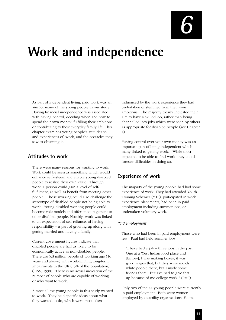# **Work and independence**

As part of independent living, paid work was an aim for many of the young people in our study. Having financial independence was associated with having control, deciding when and how to spend their own money, fulfilling their ambitions or contributing to their everyday family life. This chapter examines young people's attitudes to, and experiences of, work, and the obstacles they saw to obtaining it.

### **Attitudes to work**

There were many reasons for wanting to work. Work could be seen as something which would enhance self-esteem and enable young disabled people to realise their own value. Through work, a person could gain a level of selffulfilment, as well as benefit from meeting other people. Those working could also challenge the stereotype of disabled people not being able to work. Young disabled working people could become role models and offer encouragement to other disabled people. Notably, work was linked to an expectation of self-reliance, of having responsibility – a part of growing up along with getting married and having a family.

Current government figures indicate that disabled people are half as likely to be economically active as non-disabled people. There are 5.3 million people of working age (16 years and above) with work-limiting long-term impairments in the UK (15% of the population) (ONS, 1998). There is no actual indication of the number of people who are capable of working or who want to work.

Almost all the young people in this study wanted to work. They held specific ideas about what they wanted to do, which were most often

influenced by the work experience they had undertaken or stemmed from their own ambitions. The majority clearly indicated their aim to have a skilled job, rather than being channelled into jobs which were seen by others as appropriate for disabled people (see Chapter 4).

Having control over your own money was an important part of being independent which many linked to getting work. While most expected to be able to find work, they could foresee difficulties in doing so.

# **Experience of work**

The majority of the young people had had some experience of work. They had attended Youth Training Schemes (YTS), participated in work experience placements, had been in paid employment including summer jobs, or undertaken voluntary work.

#### *Paid employment*

Those who had been in paid employment were few. Paul had held summer jobs:

"I have had a job – three jobs in the past. One at a West Indian food place and [factory], I was making boxes, it was good wages that, but they were mostly white people there, but I made some friends there. But I've had to give that up because of me college work." (Paul)

Only two of the 44 young people were currently in paid employment. Both were women employed by disability organisations. Fatima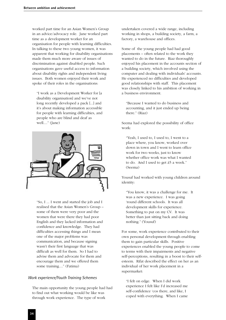worked part time for an Asian Women's Group in an advice/advocacy role. Jane worked part time as a development worker for an organisation for people with learning difficulties. In talking to these two young women, it was apparent that working for disability organisations made them much more aware of issues of discrimination against disabled people. Such organisations gave useful access to information about disability rights and independent living issues. Both women enjoyed their work and spoke of their roles in the organisations:

"I work as a Development Worker for [a disability organisation] and we've not long recently developed a pack [...] and it's about making information accessible for people with learning difficulties, and people who are blind and deaf as well...." (Jane)



"So, I ... I went and started the job and I realised that the Asian Women's Group – some of them were very poor and the women that were there they had poor English and they lacked information and confidence and knowledge. They had difficulties accessing things and I mean one of the major problems was communication, and because signing wasn't their first language that was difficult as well for them. So I had to advise them and advocate for them and encourage them and we offered them some training...." (Fatima)

#### *Work experience/Youth Training Schemes*

The main opportunity the young people had had to find out what working would be like was through work experience. The type of work

undertaken covered a wide range, including working in shops, a building society, a farm, a factory, a warehouse and offices.

Some of the young people had had good placements – often related to the work they wanted to do in the future. Riaz thoroughly enjoyed his placement in the accounts section of a building society, which involved using the computer and dealing with individuals' accounts. He experienced no difficulties and developed good relationships with staff. This placement was closely linked to his ambition of working in a business environment.

"Because I wanted to do business and accounting, and it just ended up being there." (Riaz)

Seema had explored the possibility of office work:

"Yeah, I used to, I used to, I went to a place where, you know, worked over down in town and I went to learn office work for two weeks, just to know whether office work was what I wanted to do. And I used to get £5 a week." (Seema)

Yousuf had worked with young children around identity:

"You know, it was a challenge for me. It was a new experience. I was going 'round different schools. It was all development skills for experience. Something to put on my CV. It was better than just sitting back and doing nothing." (Yousuf)

For some, work experience contributed to their own personal development through enabling them to gain particular skills. Positive experiences enabled the young people to come to terms with their impairments and negative self-perceptions, resulting in a boost to their selfesteem. Rifat described the effect on her as an individual of her work placement in a supermarket:

"I felt on edge. When I did work experience I felt like I'd increased me self-confidence 'cos there, and like, I coped with everything. When I came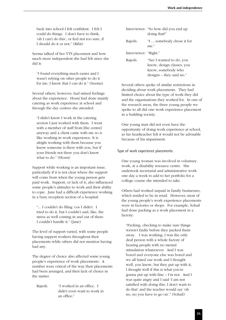back into school I felt confident. I felt I could do things. I don't have to think, 'oh I can't do this', or feel not too sure, if I should do it or not." (Rifat)

Seema talked of her YTS placement and how much more independent she had felt since she did it:

"I found everything much easier and I wasn't relying on other people to do it for me, I know that I can do it." (Seema)

Several others, however, had mixed feelings about the experience. Hosni had done mainly catering as work experience at school and through the day centres she attended.

"I didn't know I work in the catering section I just worked with them. I went with a member of staff from [the centre] anyway and a client came with me so is like working in work experience. It is alright working with them because you know someone is there with you, but if your friends not there you don't know what to do." (Hosni)

Support while working is an important issue, particularly if it is not clear where the support will come from when the young person gets paid work. Support, or lack of it, also influenced some people's attitudes to work and their ability to cope. Jane had a difficult experience working in a busy reception section of a hospital:

"... I couldn't do filing 'cos I didn't. I tried to do it, but I couldn't and, like, the stress as well coming in and out of there. I couldn't handle it." (Jane)

The level of support varied, with some people having support workers throughout their placements while others did not mention having had any.

The degree of choice also affected some young people's experience of work placements. A number were critical of the way their placements had been arranged, and their lack of choice in the matter.

Rajesh: "I worked in an office. I didn't even want to work in an office."

|                       | Interviewer: "So how did you end up<br>doing that?"                                                       |
|-----------------------|-----------------------------------------------------------------------------------------------------------|
| Rajesh:               | "I  somebody chose it for<br>me."                                                                         |
| Interviewer: "Right." |                                                                                                           |
| Rajesh:               | "See I wanted to do, you<br>know, design classes, you<br>know, somebody who<br>$designs - they said no."$ |

Several others spoke of similar restrictions in deciding about work placements. They had limited choice about the type of work they did and the organisations they worked for. In one of the research areas, the three young people we spoke to all did one work experience placement in a building society.

One young man did not even have the opportunity of doing work experience at school, as his headteacher felt it would not be advisable because of his impairment.

#### Type of work experience placements

One young woman was involved in voluntary work, at a disability resource centre. She undertook secretarial and administrative work one day a week to add to her portfolio for a college course she intended to take.

Others had worked unpaid in family businesses, which tended to be in retail. However, most of the young people's work experience placements were in factories or shops. For example, Sohail had done packing as a work placement in a factory:

"Packing, checking to make sure things weren't faulty before they packed them away. I was working, I was the only deaf person with a whole factory of hearing people with no mental stimulation whatsoever. And I was bored and everyone else was bored and we all hated our work and I thought well, you know, but they put up with it, I thought well if this is what you're gonna put up with fine – I'm not. And I was quite angry and I said 'I am not satisfied with doing this, I don't want to do that' and the teacher would say 'oh no, no you have to go on'." (Sohail)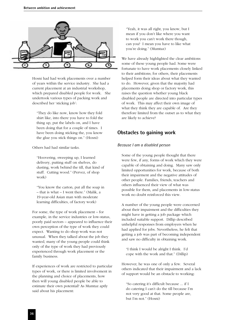

Hosni had had work placements over a number of years within the service industry. She had a current placement at an industrial workshop, which prepared disabled people for work. She undertook various types of packing work and described her 'sticking job':

"They do like now, know how they fold shirt like, into there you have to fold the thing up, put the labels on, and I have been doing that for a couple of times. I have been doing sticking the, you know the glue you stick things on." (Hosni)

Others had had similar tasks.

"Hoovering, sweeping up, I learned delivery, putting stuff on shelves, do dusting, work behind the till, that kind of stuff. Cutting wood." (Pervez, of shop work)

"You know the carton, put all the soap in – that is what – I went there." (Malik, a 19-year-old Asian man with moderate learning difficulties, of factory work)

For some, the type of work placement – for example, in the service industries or low-status, poorly paid sectors – appeared to influence their own perception of the type of work they could expect. Wanting to do shop work was not unusual. When they talked about the job they wanted, many of the young people could think only of the type of work they had previously experienced through work placement or the family business.

If experiences of work are restricted to particular types of work, or there is limited involvement in the planning and choice of placements, how then will young disabled people be able to estimate their own potential? As Mumtaz aptly said about his placement:

"Yeah, it was all right, you know, but I mean if you don't like where you want to work you can't work there though, can you? I mean you have to like what you're doing." (Mumtaz)

We have already highlighted the clear ambitions some of these young people had. Some were fortunate to have work placements closely linked to their ambitions; for others, their placements helped form their ideas about what they wanted to do. However, given that the majority had placements doing shop or factory work, this raises the question whether young black disabled people are directed into particular types of work. This may affect their own image of what they think they are capable of. Are they therefore limited from the outset as to what they are likely to achieve?

### **Obstacles to gaining work**

#### *Because I am a disabled person*

Some of the young people thought that there were few, if any, forms of work which they were capable of obtaining and doing. Many saw only limited opportunities for work, because of both their impairment and the negative attitudes of other people. Families, friends, teachers and others influenced their view of what was possible for them, and placements in low-status work no doubt reinforced this view.

A number of the young people were concerned about their impairment and the difficulties they might have in getting a job package which included suitable support. Dillip described unhelpful responses from employers when he had applied for jobs. Nevertheless, he felt that getting a job was part of becoming independent and saw no difficulty in obtaining work.

"I think I would be alright I think. I'd cope with the work and that." (Dillip)

However, he was one of only a few. Several others indicated that their impairment and a lack of support would be an obstacle to working:

"So catering it's difficult because ... if I do catering I can't do the till because I'm not very good at that. Some people are, but I'm not." (Hosni)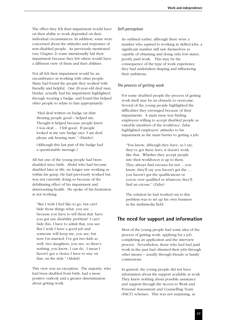The effect they felt their impairment would have on their ability to work depended on their individual circumstances. In addition, some were concerned about the attitudes and responses of non-disabled people. As previously mentioned (see Chapter 2) some intentionally hid their impairment because they felt others would have a different view of them and their abilities.

Not all felt their impairment would be an encumbrance in working with other people. Many had found the people they worked with friendly and helpful. One 20-year-old deaf man, Haider, actually had his impairment highlighted through wearing a badge, and found this helped other people to relate to him appropriately:

"Had deaf written on badge on shirt. Hearing people good – helped me. Thought it helped because people knew I was deaf.... I felt good. If people looked at me saw badge says 'I am deaf, please ask hearing man'." (Haider)

(Although this last part of the badge had a questionable message.)

All but one of the young people had been disabled since birth. Abdul who had become disabled later in life, no longer saw working as within his grasp. He had previously worked but was not currently doing so because of the debilitating effect of his impairment and deteriorating health. He spoke of his frustration at not working:

"But I wish I feel like to go, but can't hide those things what, you see ... because you have to tell them that 'have you got any disability problem?' I can't hide this, I have to admit that, you see. But I wish I have a good job and someone will keep me, you see, but now I'm married, I've got two kids as well, two daughters, you see, so there's nothing, you know, I can do. I mean I haven't got a choice I have to stay on that, on the dole." (Abdul)

This view was an exception. The majority, who had been disabled from birth, had a more positive outlook and a greater determination about getting work.

#### *Self-perception*

As outlined earlier, although there were a number who aspired to working in skilled jobs, a significant number still saw themselves as capable of obtaining and doing only low-status, poorly paid work. This may be the consequence of the type of work experience they had undertaken shaping and influencing their ambitions.

#### *The process of getting work*

For some disabled people the process of getting work itself may be an obstacle to overcome. Several of the young people highlighted the difficulties they envisaged because of their impairments. A main issue was finding employers willing to accept disabled people as valuable members of the workforce. Zafar highlighted employers' attitudes to his impairment as the main barrier to getting a job:

"You know, although they have, as I say, they've got these laws, it doesn't work like that. Whether they accept people into their workforces is up to them. They always find excuses for not ... you know, they'll say you haven't got the ... you haven't got the qualifications or you're over qualified or whatever, they'll find an excuse." (Zafar)

The solution he had worked out to this problem was to set up his own business in the multimedia field.

# **The need for support and information**

Most of the young people had some idea of the process of getting work: applying for a job, completing an application and the interview process. Nevertheless, those who had had paid work in the past had obtained their jobs through other means – usually through friends or family connections.

In general, the young people did not have information about the support available at work. They knew nothing about possible assistance and support through the Access to Work and Personal Assessment and Counselling Team (PACT) schemes. This was not surprising, as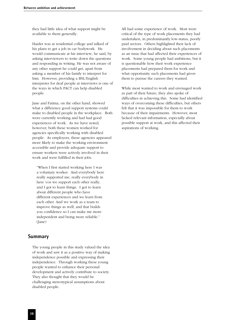they had little idea of what support might be available to them generally.

Haider was at residential college and talked of his plans to get a job in car bodywork. He would communicate at his interview, he said, by asking interviewers to write down the questions and responding in writing. He was not aware of any other support he could get, apart from asking a member of his family to interpret for him. However, providing a BSL/English interpreter for deaf people at interviews is one of the ways in which PACT can help disabled people.

Jane and Fatima, on the other hand, showed what a difference good support systems could make to disabled people in the workplace. Both were currently working and had had good experiences of work. As we have noted, however, both these women worked for agencies specifically working with disabled people. As employers, these agencies appeared more likely to make the working environment accessible and provide adequate support to ensure workers were actively involved in their work and were fulfilled in their jobs.

"When I first started working here I was a voluntary worker. And everybody here really supported me, really everybody in here 'cos we support each other really, and I got to learn things. I got to learn about different people who have different experiences and we learn from each other. And we work as a team to improve things as well, and that builds you confidence so I can make me more independent and being more reliable." (Jane)

### **Summary**

The young people in this study valued the idea of work and saw it as a positive way of making independence possible and expressing their independence. Through working these young people wanted to enhance their personal development and actively contribute to society. They also thought that they would be challenging stereotypical assumptions about disabled people.

All had some experience of work. Most were critical of the type of work placements they had undertaken, in predominantly low-status, poorly paid sectors. Others highlighted their lack of involvement in deciding about such placements as an issue that had affected their experiences of work. Some young people had ambitions, but it is questionable how their work experience placements had prepared them for work and what opportunity such placements had given them to pursue the careers they wanted.

While most wanted to work and envisaged work as part of their future, they also spoke of difficulties in achieving this. Some had identified ways of overcoming these difficulties, but others felt that it was impossible for them to work because of their impairments. However, most lacked relevant information, especially about possible support at work, and this affected their aspirations of working.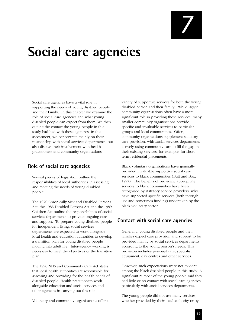# **Social care agencies**

Social care agencies have a vital role in supporting the needs of young disabled people and their family. In this chapter we examine the role of social care agencies and what young disabled people can expect from them. We then outline the contact the young people in this study had had with these agencies. In this assessment, we concentrate mainly on their relationship with social services departments, but also discuss their involvement with health practitioners and community organisations.

# **Role of social care agencies**

Several pieces of legislation outline the responsibilities of local authorities in assessing and meeting the needs of young disabled people.

The 1970 Chronically Sick and Disabled Persons Act, the 1986 Disabled Persons Act and the 1989 Children Act outline the responsibilities of social services departments to provide ongoing care and support. To prepare young disabled people for independent living, social services departments are expected to work alongside local health and education authorities to develop a transition plan for young disabled people moving into adult life. Inter-agency working is necessary to meet the objectives of the transition plan.

The 1990 NHS and Community Care Act states that local health authorities are responsible for assessing and providing for the health needs of disabled people. Health practitioners work alongside education and social services and other agencies in carrying out this role.

Voluntary and community organisations offer a

variety of supportive services for both the young disabled person and their family. While larger community organisations often have a more significant role in providing these services, many smaller community organisations provide specific and invaluable services to particular groups and local communities. Often, community organisations supplement statutory care provision, with social services departments actively using community care to fill the gap in their existing services, for example, for shortterm residential placements.

Black voluntary organisations have generally provided invaluable supportive social care services to black communities (Butt and Box, 1997). The benefits of providing appropriate services to black communities have been recognised by statutory service providers, who have supported specific services (both through use and sometimes funding) undertaken by the black voluntary sector.

# **Contact with social care agencies**

Generally, young disabled people and their families expect care provision and support to be provided mainly by social services departments according to the young person's needs. This provision includes personal care, specialist equipment, day centres and other services.

However, such expectations were not evident among the black disabled people in this study. A significant number of the young people said they had little or no contact with social care agencies, particularly with social services departments.

The young people did not use many services, whether provided by their local authority or by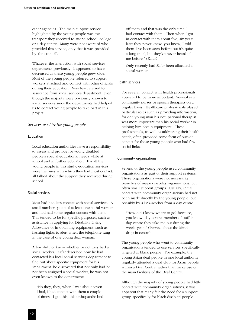other agencies. The main support service highlighted by the young people was the transport they received to attend school, college or a day centre. Many were not aware of who provided this service, only that it was provided by 'the council'.

Whatever the interaction with social services departments previously, it appeared to have decreased as these young people grew older. Most of the young people referred to support workers at school and contact with other officials during their education. Very few referred to assistance from social services department, even though the majority were obviously known to social services since the departments had helped us to contact young people to take part in this project.

#### *Services used by the young people*

#### Education

Local education authorities have a responsibility to assess and provide for young disabled people's special educational needs while at school and in further education. For all the young people in this study, education services were the ones with which they had most contact: all talked about the support they received during school.

#### Social services

Most had had less contact with social services. A small number spoke of at least one social worker and had had some regular contact with them. This tended to be for specific purposes, such as assistance in applying for Disability Living Allowance or in obtaining equipment, such as flashing lights to alert when the telephone rang in the case of one young deaf woman.

A few did not know whether or not they had a social worker. Zafar described how he had contacted his local social services department to find out about specific equipment for his impairment: he discovered that not only had he not been assigned a social worker, he was not even known to the department:

"No they, they, when I was about seven I had, I had contact with them a couple of times. I got this, this orthopaedic bed off them and that was the only time I had contact with them. Then when I got in contact with them about five, six years later they never knew, you know, I told them 'I've been seen before but it's quite a long time', but they've never heard of me before." (Zafar)

Only recently had Zafar been allocated a social worker.

#### Health services

For several, contact with health professionals appeared to be more important. Several saw community nurses or speech therapists on a regular basis. Healthcare professionals played particular roles such as providing information; for one young man his occupational therapist was more important than his social worker in helping him obtain equipment. These professionals, as well as addressing their health needs, often provided some form of outside contact for those young people who had few social links.

#### Community organisations

Several of the young people used community organisations as part of their support systems. These organisations were not necessarily branches of major disability organisations, but often small support groups. Usually, initial contact with community organisations had not been made directly by the young people, but possibly by a link-worker from a day centre.

"How did I know where to go? Because, you know, day centre, member of staff in day centre they take me out during the week, yeah." (Pervez, about the Mind drop-in centre)

The young people who went to community organisations tended to use services specifically targeted at black people. For example, the young Asian deaf people in one local authority regularly attended a deaf club for Asian people within a Deaf Centre, rather than make use of the main facilities of the Deaf Centre.

Although the majority of young people had little contact with community organisations, it was apparent that many felt the need for a support group specifically for black disabled people.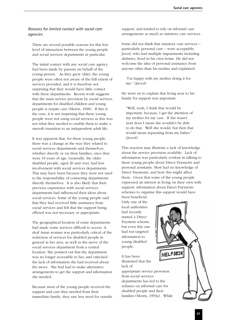#### *Reasons for limited contact with social care agencies*

There are several possible reasons for this low level of interaction between the young people and social services departments in particular.

The initial contact with any social care agency had been made by parents on behalf of the young person. As they grew older, the young people were often not aware of the full extent of services provided, and it is therefore not surprising that they would have little contact with these departments. Recent work suggests that the main service provision by social services departments for disabled children and young people is respite care (Morris, 1998). If this is the case, it is not surprising that these young people were not using social services as this was not what they needed to enable them to make a smooth transition to an independent adult life.

It was apparent that, for these young people, there was a change in the way they related to social services departments and themselves, whether directly or via their families, once they were 19 years of age. Generally, the older disabled people, aged 20 and over, had less involvement with social services departments. This may have been because they were not used to the responsibility of contacting departments directly themselves. It is also likely that their previous experience with social services departments had influenced their ideas about social services. Some of the young people said that they had received little assistance from social services and felt that the support being offered was not necessary or appropriate.

The geographical location of some departments had made some services difficult to access. A deaf Asian woman was particularly critical of the reduction of services for disabled people in general in her area, as well as the move of the social services department from a central location. She pointed out that the department was no longer accessible to her, and criticised the lack of information she had received about the move. She had had to make alternative arrangements to get the support and information she needed.

Because most of the young people received the support and care they needed from their immediate family, they saw less need for outside support, and tended to rely on informal care arrangements as much as statutory care services.

Some did not think that statutory care services – particularly personal care – were acceptable. Javed, who had multiple impairments including diabetes, lived in his own home. He did not welcome the idea of personal assistance from anyone other than his mother and explained:

"I'm happy with my mother doing it for me." (Javed)

He went on to explain that living near to his family for support was important:

"Well, yeah, I think that would be important, because, I get the attention of my mother for my care. If she wasn't next door I mean she wouldn't be able to do that. Well she would, but then that would mean separating from my father." (Javed)

This reaction may illustrate a lack of knowledge about the service provision available. Lack of information was particularly evident in talking to these young people about Direct Payments and personal assistants. Most had no knowledge of Direct Payments, and how this might affect them. Given that some of the young people expressed an interest in living on their own with support, information about Direct Payments schemes to organise this support would have been beneficial.

HELP DES

Only one of the local authorities had recently started a Direct Payment scheme, but even this one had not targeted information to young disabled people.

It has been illustrated that the lack of

appropriate service provision from social services departments has led to the reliance on informal care for disabled people and their families (Morris, 1993a). While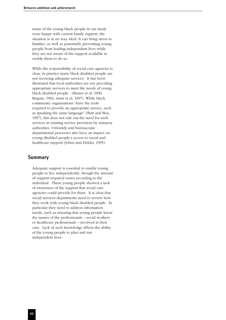many of the young black people in our study were happy with current family support, the situation is in no way ideal. It can bring stress to families, as well as potentially preventing young people from leading independent lives while they are not aware of the support available to enable them to do so.

While the responsibility of social care agencies is clear, in practice many black disabled people are not receiving adequate services. It has been illustrated that local authorities are not providing appropriate services to meet the needs of young black disabled people. (Baxter et al, 1990; Begum, 1992; Azmi et al, 1997). While black community organisations "have the tools required to provide an appropriate service, such as speaking the same language" (Butt and Box, 1997), this does not rule out the need for such services in existing service provision by statutory authorities. Unwieldy and bureaucratic departmental processes also have an impact on young disabled people's access to social and healthcare support (Johns and Fielder, 1995).

#### **Summary**

Adequate support is essential to enable young people to live independently, though the amount of support required varies according to the individual. These young people showed a lack of awareness of the support that social care agencies could provide for them. It is clear that social services departments need to review how they work with young black disabled people. In particular they need to address information needs, such as ensuring that young people know the names of the professionals – social workers or healthcare professionals – involved in their care. Lack of such knowledge affects the ability of the young people to plan and run independent lives.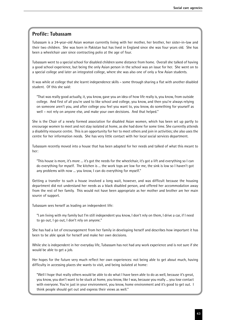# **Profile: Tubassam**

Tubassam is a 24-year-old Asian woman currently living with her mother, her brother, her sister-in-law and their two children. She was born in Pakistan but has lived in England since she was four years old. She has been a wheelchair user since contracting polio at the age of four.

Tubassam went to a special school for disabled children some distance from home. Overall she talked of having a good school experience, but being the only Asian person in the school was an issue for her. She went on to a special college and later an integrated college, where she was also one of only a few Asian students.

It was while at college that she learnt independence skills – some through sharing a flat with another disabled student. Of this she said:

"That was really good actually, it, you know, gave you an idea of how life really is, you know, from outside college. And first of all you're used to like school and college, you know, and then you're always relying on someone aren't you, and after college you feel you want to, you know, do something for yourself as well – not rely on anyone else, and make your own decisions. And that helped."

She is the Chair of a newly formed association for disabled Asian women, which has been set up partly to encourage women to meet and not stay isolated at home, as she had done for some time. She currently attends a disability resource centre. This is an opportunity for her to meet others and join in activities; she also uses the centre for her information needs. She has very little contact with her local social services department.

Tubassam recently moved into a house that has been adapted for her needs and talked of what this meant to her:

"This house is more, it's more ... it's got the needs for the wheelchair, it's got a lift and everything so I can do everything for myself. The kitchen is ... the work tops are low for me, the sink is low so I haven't got any problems with now ... you know, I can do everything for myself."

Getting a transfer to such a house involved a long wait, however, and was difficult because the housing department did not understand her needs as a black disabled person, and offered her accommodation away from the rest of her family. This would not have been appropriate as her mother and brother are her main source of support.

Tubassam sees herself as leading an independent life:

"I am living with my family but I'm still independent you know, I don't rely on them, I drive a car, if I need to go out, I go out, I don't rely on anyone."

She has had a lot of encouragement from her family in developing herself and describes how important it has been to be able speak for herself and make her own decisions.

While she is independent in her everyday life, Tubassam has not had any work experience and is not sure if she would be able to get a job.

Her hopes for the future very much reflect her own experiences: not being able to get about much, having difficulty in accessing places she wants to visit, and being isolated at home:

"Well I hope that really others would be able to do what I have been able to do as well, because it's great, you know, you don't want to be stuck at home, you know, like I was, because you really ... you lose contact with everyone. You're just in your environment, you know, home environment and it's good to get out. I think people should get out and express their views as well."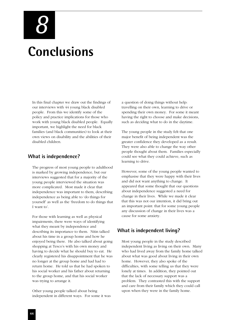**Conclusions** *8*

In this final chapter we draw out the findings of our interviews with 44 young black disabled people. From this we identify some of the policy and practice implications for those who work with young black disabled people. Equally important, we highlight the need for black families (and black communities) to look at their own views on disability and the abilities of their disabled children.

#### **What is independence?**

The progress of most young people to adulthood is marked by growing independence, but our interviews suggested that for a majority of the young people interviewed the situation was more complicated. Most made it clear that independence was important to them, describing independence as being able to 'do things for yourself' as well as the 'freedom to do things that I want to'.

For those with learning as well as physical impairments, there were ways of identifying what they meant by independence and describing its importance to them. Nitin talked about his time in a group home and how he enjoyed being there. He also talked about going shopping at Tesco's with his own money and having to decide what he should buy to eat. He clearly registered his disappointment that he was no longer at the group home and had had to return home. He told us that he had spoken to his social worker and his father about returning to the group home, and that his social worker was trying to arrange it.

Other young people talked about being independent in different ways. For some it was

a question of doing things without help: travelling on their own, learning to drive or spending their own money. For some it meant having the right to choose and make decisions, such as deciding what to do in the daytime.

The young people in the study felt that one major benefit of being independent was the greater confidence they developed as a result. They were also able to change the way other people thought about them. Families especially could see what they could achieve, such as learning to drive.

However, some of the young people wanted to emphasise that they were happy with their lives and did not want anything to change. It appeared that some thought that our questions about independence suggested a need for change in their lives. While we made it clear that this was not our intention, it did bring out an important point: that for some young people any discussion of change in their lives was a cause for some anxiety.

# **What is independent living?**

Most young people in the study described independent living as living on their own. Many who had lived away from the family home talked about what was good about living in their own home. However, they also spoke of the difficulties, with some telling us that they were lonely at times. In addition, they pointed out that the lack of necessary support was a problem. They contrasted this with the support and care from their family which they could call upon when they were in the family home.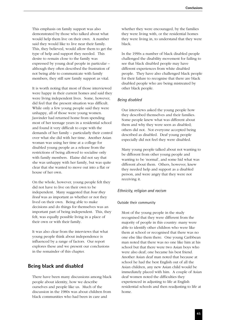This emphasis on family support was also demonstrated by those who talked about what would help them live on their own. A number said they would like to live near their family. This, they believed, would allow them to get the type of help and support they needed. This desire to remain close to the family was expressed by young deaf people in particular – although they often described the frustration of not being able to communicate with family members, they still saw family support as vital.

It is worth noting that most of those interviewed were happy in their current homes and said they were living independent lives. Some, however, did feel that the present situation was difficult. While only a few young people said they were unhappy, all of those were young women. Jasvinder had returned home from spending most of her teenage years in a residential school and found it very difficult to cope with the demands of her family – particularly their control over what she did with her time. Another Asian woman was using her time at a college for disabled young people as a release from the restrictions of being allowed to socialise only with family members. Elaine did not say that she was unhappy with her family, but was quite clear that she wanted to move out into a flat or house of her own.

On the whole, however, young people felt they did not have to live on their own to be independent. Many suggested that *how they lived* was as important as whether or not they lived on their own. Being able to make decisions and do things for themselves was an important part of being independent. This, they felt, was equally possible living in a place of their own or with their family.

It was also clear from the interviews that what young people think about independence is influenced by a range of factors. Our report explores these and we present our conclusions in the remainder of this chapter.

#### **Being black and disabled**

There have been many discussions among black people about identity, how we describe ourselves and people like us. Much of the discussion in the 1980s was about children from black communities who had been in care and

whether they were encouraged, by the families they were living with, or the residential homes they were living in, to understand that they were black.

In the 1990s a number of black disabled people challenged the disability movement for failing to see that black disabled people may have different experiences from white disabled people. They have also challenged black people for their failure to recognise that there are black disabled people who are being mistreated by other black people.

#### *Being disabled*

Our interviews asked the young people how they described themselves and their families. Some people knew what was different about them and why they were seen as disabled; others did not. Not everyone accepted being described as disabled. Deaf young people especially did not feel they were disabled.

Many young people talked about not wanting to be different from other young people and wanting to be 'normal', and some hid what was different about them. Others, however, knew they needed help and support as a disabled person, and were angry that they were not receiving it.

#### *Ethnicity, religion and racism*

#### Outside their community

Most of the young people in the study recognised that they were different from the majority of people in this country: many were able to identify other children who were like them at school or recognised that there was no one else like them there. One young Caribbean man noted that there was no one like him at his school but that there were two Asian boys who were also deaf; one became his best friend. Another Asian deaf man noted that because at school he had the best English out of all the Asian children, any new Asian child would be immediately placed with him. A couple of Asian deaf women noted the difficulties they experienced in adjusting to life at English residential schools and then readjusting to life at home.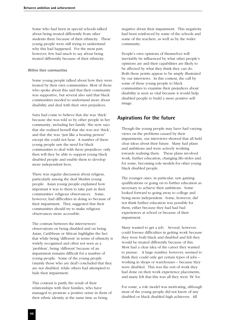Some who had been in special schools talked about being treated differently from other students there because of their ethnicity. These young people were still trying to understand why this had happened. For the most part, however, few had much to say about being treated differently because of their ethnicity.

#### Within their communities

Some young people talked about how they were treated by their own communities. Most of those who spoke about this said that their community was supportive, but several also said that black communities needed to understand more about disability and deal with their own prejudices.

Saira had come to believe that she was 'thick' because she was told so by other people in her community, including her family. She now says that she realised herself that she was not 'thick', and that she was "just like a hearing person" except she could not hear. A number of these young people saw the need for black communities to deal with these prejudices: only then will they be able to support young black disabled people and enable them to develop more independent lives.

There was regular discussion about religion, particularly among the deaf Muslim young people. Asian young people explained how important it was to them to take part in their communities' religious observances. Some, however, had difficulties in doing so because of their impairment. They suggested that their communities should try to make religious observances more accessible.

The contrast between the interviewees' observations on being disabled and on being Asian, Caribbean or African highlights the fact that while being 'different' in terms of ethnicity is widely recognised and often not seen as a 'problem', being 'different' because of an impairment remains difficult for a number of young people. Some of the young people (mainly those who are deaf) concluded that they are not disabled, while others had attempted to hide their impairment.

This contrast is partly the result of their relationships with their families, who have managed to promote a positive sense in them of their ethnic identity at the same time as being

negative about their impairment. This negativity had been reinforced by some of the schools and some of the teachers, as well as by the wider community.

People's own opinions of themselves will inevitably be influenced by what other people's opinions are and their capabilities are likely to be affected by what they think they can do. Both these points appear to be amply illustrated by our interviews. In this context, the call by some of these young people to black communities to examine their prejudices about disability is seen as vital because it would help disabled people to build a more positive selfimage.

# **Aspirations for the future**

Though the young people may have had varying views on the problems caused by their impairments, our interviews showed that all held clear ideas about their future. Many had plans and ambitions and were actively working towards realising them. These plans involved work, further education, changing life-styles and, for some, becoming role models for other young black disabled people.

The younger ones, in particular, saw gaining qualifications or going on to further education as necessary to achieve their ambitions. Some looked forward to going away to college and being more independent. Some, however, did not think further education was possible for them, either because they had had bad experiences at school or because of their impairment.

Many wanted to get a job. Several, however, could foresee difficulties in getting work because they were both black and disabled and felt they would be treated differently because of this. Most had a clear idea of the career they wanted to pursue. A large number, however, seemed to think they could only get certain types of jobs – working in shops or warehouses – because they were disabled. This was the sort of work they had done on their work experience placements, and many felt that this was all they were 'fit' for.

For some, a role model was motivating, although most of the young people did not know of any disabled or black disabled high achievers. All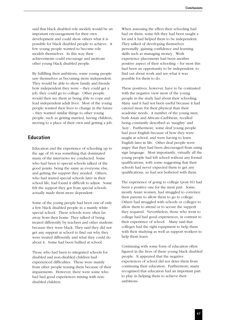said that black disabled role models would be an important encouragement for their own development and could show others what it is possible for black disabled people to achieve. A few young people wanted to become role models themselves. In this way their achievements could encourage and motivate other young black disabled people.

By fulfilling their ambitions, some young people saw themselves as becoming more independent. They would be able to show family and friends how independent they were – they could get a job, they could go to college. Other people would then see them as being able to cope and lead independent adult lives. Most of the young people wanted their lives to change in the future – they wanted similar things to other young people, such as getting married, having children, moving to a place of their own and getting a job.

# **Education**

Education and the experience of schooling up to the age of 16 was something that dominated many of the interviews we conducted. Some who had been to special schools talked of the good points: being the same as everyone else, and getting the support they needed. Others, who had started special schools later in their school life, had found it difficult to adjust. Some felt the support they got from special schools actually made them more dependent.

Some of the young people had been one of only a few black disabled people in a mainly white special school. These schools were often far away from their home. They talked of being treated differently by teachers and other students because they were black. They said they did not get any support at school to find out why they were treated differently and what they could do about it. Some had been bullied at school.

Those who had been to integrated schools for disabled and non-disabled children had experienced difficulties. These were mainly from other people teasing them because of their impairments. However, there were some who had had good experiences mixing with nondisabled children.

When assessing the effect their schooling had had on them, some felt they had been taught a lot and it had helped them to be independent. They talked of developing themselves personally, gaining confidence and learning skills such as managing money. Work experience placements had been another positive aspect of their schooling – for most this had been an opportunity to be independent, to find out about work and see what it was possible for them to do.

These positives, however, have to be contrasted with the negative view most of the young people in the study had about their schooling. Many said it had not been useful because it had catered more for their physical than their academic needs. A number of the young men, both Asian and African–Caribbean, recalled being constantly described as 'naughty' and 'lazy'. Furthermore, some deaf young people had poor English because of how they were taught at school, and were having to learn English later in life. Other deaf people were angry that they had been discouraged from using sign language. Most importantly, virtually all the young people had left school without any formal qualifications, with some suggesting that their schools had never expected them to get any qualifications, so had not bothered with them.

The experience of going to college (post-16) had been a positive one for the most part. Some, mostly Asian women, had struggled to convince their parents to allow them to go to college. Others had struggled with schools or colleges to allow them to attend or to secure the support they required. Nevertheless, those who went to college had had good experiences, in contrast to their experience of school. Many said that colleges had the right equipment to help them with their studying as well as support workers to help them learn.

Continuing with some form of education often figured in the lives of these young black disabled people. It appeared that the negative experiences of school did not deter them from continuing their education. Furthermore, many recognised that education had an important part to play in helping them to achieve their ambitions.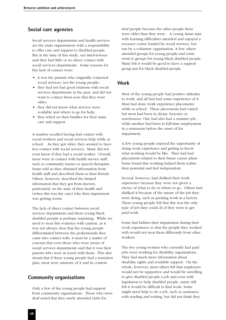### **Social care agencies**

Social services departments and health services are the main organisations with a responsibility to offer care and support to disabled people. But at the time of this study, our interviewees said they had little or no direct contact with social services departments. Some reasons for this lack of contact were:

- it was the parents who originally contacted social services, not the young people;
- they had not had good relations with social services departments in the past, and did not want to contact them now that they were older;
- they did not know what services were available and where to go for help;
- they relied on their families for their main care and support.

A number recalled having had contact with social workers and social services help while at school. As they got older, they seemed to have less contact with social services. Many did not even know if they had a social worker. Overall, more were in contact with health service staff, such as community nurses or speech therapists. Some told us they obtained information from health staff and described them as their friends. Others, however, described the limited information that they got from doctors, particularly on the state of their health and (when this was the case) why their impairment was getting worse.

The lack of direct contact between social services departments and these young black disabled people is perhaps surprising. While we need to treat this evidence with caution, as it was not always clear that the young people differentiated between the professionals they came into contact with, it must be a matter of concern that even those who were aware of social services departments said that it was their parents who were in touch with them. This also meant that if these young people had a transition plan, most were unaware of it and its content.

# **Community organisations**

Only a few of the young people had support from community organisations. Those who were deaf noted that they rarely attended clubs for

deaf people because the other people there were older than they were. A young Asian man with learning difficulties attended and enjoyed a resource centre funded by social services, but run by a voluntary organisation. A few others attended groups for young people and some went to groups for young black disabled people. Many felt it would be good to have a support group just for black disabled people.

# **Work**

Most of the young people had positive attitudes to work, and all had had some experience of it. Most had done work experience placements while at school. These placements had varied, but most had been in shops, factories or warehouses. One had also had a summer job, while another had been in full-time employment in a restaurant before the onset of his impairment.

A few young people enjoyed the opportunity of doing work experience and getting to know what working would be like. They had had placements related to their future career plans. Some found that working helped them realise their potential and feel independent.

Several, however, had disliked their work experience because they were not given a choice of what to do or where to go. Others had disliked it because of the nature of the job they were doing, such as packing work in a factory. These young people felt that this was the only type of job they could do if they were to get paid work.

Some had hidden their impairment during their work experience so that the people they worked with would not treat them differently from other workers.

The two young women who currently had paid jobs were working for disability organisations. They had much more information about disability rights and available support. On the whole, however, most others felt that employers would not be supportive and would be unwilling to give disabled people a job and even with legislation to help disabled people, many still felt it would be difficult to find work. Some might need help to do a job, such as assistance with reading and writing, but did not think they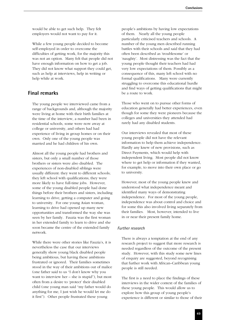would be able to get such help. They felt employers would not want to pay for it.

While a few young people decided to become self-employed in order to overcome the difficulties of getting work, for the majority this was not an option. Many felt that people did not have enough information on how to get a job. They did not know what support they could get, such as help at interviews, help in writing or help while at work.

# **Final remarks**

The young people we interviewed came from a range of backgrounds and, although the majority were living at home with their birth families at the time of the interview, a number had been in residential schools, some were now away at college or university, and others had had experience of living in group homes or on their own. Only one of the young people was married and he had children of his own.

Almost all the young people had brothers and sisters, but only a small number of those brothers or sisters were also disabled. The experiences of non-disabled siblings were usually different: they went to different schools; they left school with qualifications; they were more likely to have full-time jobs. However, some of the young disabled people had done things before their brothers and sisters, including learning to drive, getting a computer and going to university. For one young Asian woman, learning to drive had opened up many new opportunities and transformed the way she was seen by her family. Fauzia was the first woman in her extended family to learn to drive and she soon became the centre of the extended family network.

While there were other stories like Fauzia's, it is nevertheless the case that our interviews generally show young black disabled people being ambitious, but having these ambitions frustrated or ignored. Their families sometimes stood in the way of their ambitions out of malice (one father said to us "I don't know why you want to interview her – she is stupid"), but most often from a desire to 'protect' their disabled child (one young man said "my father would do anything for me, I just wish he would let me do it first"). Other people frustrated these young

people's ambitions by having low expectations of them. Nearly all the young people particularly criticised teachers and schools. A number of the young men described running battles with their schools and said that they had often been described as 'troublesome' or 'naughty'. Most distressing was the fact that the young people thought their teachers had had very low expectations of them. Possibly as a consequence of this, many left school with no formal qualifications. Many were currently struggling to overcome this educational hurdle and find ways of getting qualifications that might be a route to work.

Those who went on to pursue other forms of education generally had better experiences, even though for some they were pioneers because the colleges and universities they attended had rarely had any disabled students.

Our interviews revealed that most of these young people did not have the relevant information to help them achieve independence. Hardly any knew of new provisions, such as Direct Payments, which would help with independent living. Most people did not know where to get help or information if they wanted, for example, to move into their own place or go to university.

However, most of the young people knew and understood what independence meant and identified many ways of demonstrating independence. For most of the young people, independence was about control and choice and for some this also involved living separately from their families. Most, however, intended to live in or near their present family home.

#### *Further research*

There is always a temptation at the end of any research project to suggest that more research is needed regardless of the outcome of the present study. However, with this study some new lines of enquiry are suggested, beyond recognising that further work with African–Caribbean young people is still needed.

The first is a need to place the findings of these interviews in the wider context of the families of these young people. This would allow us to explore how this group of young people's experience is different or similar to those of their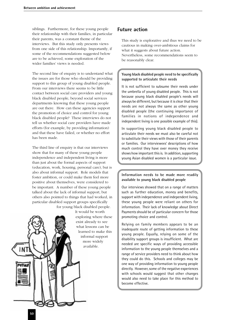siblings. Furthermore, for these young people their relationship with their families, in particular their parents, was a constant theme of the interviews. But this study only presents views from one side of this relationship. Importantly, if some of the recommendations suggested below are to be achieved, some exploration of the wider families' views is needed.

The second line of enquiry is to understand what the issues are for those who should be providing support to this group of young disabled people. From our interviews there seems to be little contact between social care providers and young black disabled people, beyond social services departments knowing that these young people are out there. How can these agencies support the promotion of choice and control for young black disabled people? These interviews do not tell us whether social care providers have made efforts (for example, by providing information) and that these have failed, or whether no effort has been made.

The third line of enquiry is that our interviews show that for many of these young people independence and independent living is more than just about the formal aspects of support (education, work, housing, personal care), but is also about informal support. Role models that foster ambition, or could make them feel more positive about themselves, were considered to be important. A number of these young people talked about the lack of informal support, but others also pointed to things that had worked, in particular disabled support groups specifically for young black disabled people.

> It would be worth exploring where these exist already to see what lessons can be learned to make this informal support more widely available.

# **Future action**

This study is explorative and thus we need to be cautious in making over-ambitious claims for what it suggests about future action. Nevertheless, some recommendations seem to be reasonably clear.

#### **Young black disabled people need to be specifically supported to articulate their needs**

It is not sufficient to subsume their needs under the umbrella of young disabled people. This is not because young black disabled people's needs will always be different, but because it is clear that their needs are not always the same as other young disabled people (the continuing importance of families in notions of independence and independent living is one possible example of this).

In supporting young black disabled people to articulate their needs we must also be careful not to substitute their views with those of their parents or families. Our interviewees' descriptions of how much control they have over money they receive shows how important this is. In addition, supporting young Asian disabled women is a particular issue.

#### **Information needs to be made more readily available to young black disabled people**

Our interviews showed that on a range of matters such as further education, money and benefits, support with independence and independent living, these young people were reliant on others for information. Their lack of knowledge about Direct Payments should be of particular concern for those promoting choice and control.

Relying on family members appears to be an inadequate route of getting information to these young people. Equally, relying on some of the disability support groups is insufficient. What are needed are specific ways of providing accessible information to the young people themselves and a range of service providers need to think about how they could do this. Schools and colleges may be one way of providing information to young people directly. However, some of the negative experiences with schools would suggest that other changes would also need to take place for this method to become effective.

**Tue**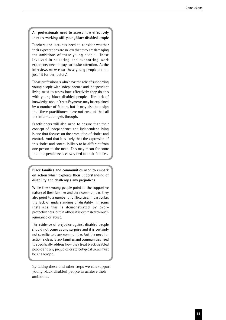#### **All professionals need to assess how effectively they are working with young black disabled people**

Teachers and lecturers need to consider whether their expectations are so low that they are damaging the ambitions of these young people. Those involved in selecting and supporting work experience need to pay particular attention. As the interviews make clear these young people are not just 'fit for the factory'.

Those professionals who have the role of supporting young people with independence and independent living need to assess how effectively they do this with young black disabled people. The lack of knowledge about Direct Payments may be explained by a number of factors, but it may also be a sign that these practitioners have not ensured that all the information gets through.

Practitioners will also need to ensure that their concept of independence and independent living is one that focuses on the promotion of choice and control. And that it is likely that the expression of this choice and control is likely to be different from one person to the next. This may mean for some that independence is closely tied to their families.

**Black families and communities need to embark on action which explores their understanding of disability and challenges any prejudices**

While these young people point to the supportive nature of their families and their communities, they also point to a number of difficulties, in particular, the lack of understanding of disability. In some instances this is demonstrated by overprotectiveness, but in others it is expressed through ignorance or abuse.

The evidence of prejudice against disabled people should not come as any surprise and it is certainly not specific to black communities, but the need for action is clear. Black families and communities need to specifically address how they treat black disabled people and any prejudice or stereotypical views must be challenged.

By taking these and other steps we can support young black disabled people to achieve their ambitions.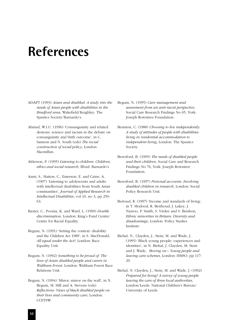# **References**

- ADAPT (1993) *Asian and disabled: A study into the needs of Asian people with disabilities in the Bradford area*, Wakefield/Keighley: The Spastics Society/Barnardo's.
- Ahmad, W.I.U. (1996) 'Consanguinity and related demons: science and racism in the debate on consanguinity and birth outcome', in C. Samson and N. South (eds) *The social construction of social policy*, London: Macmillan.
- Alderson, P. (1995) *Listening to children: Children, ethics and social research*, Ilford: Barnardo's
- Azmi, S., Hatton, C., Emerson, E. and Caine, A. (1997) 'Listening to adolescents and adults with intellectual disabilities from South Asian communities', *Journal of Applied Research in Intellectual Disabilities*, vol 10, no 3, pp 250- 63.
- Baxter, C., Poonia, K. and Ward, L. (1990) *Double discrimination*, London: King's Fund Centre/ Centre for Racial Equality.
- Begum, N. (1991) 'Setting the context: disability and the Children Act 1989', in S. MacDonald, *All equal under the Act?*, London: Race Equality Unit.
- Begum, N. (1992) *Something to be proud of: The lives of Asian disabled people and carers in Waltham Forest*, London: Waltham Forest Race Relations Unit.
- Begum, N. (1994) 'Mirror, mirror on the wall', in N. Begum, M. Hill and A. Stevens (eds) *Reflections: Views of black disabled people on their lives and community care*, London: CCETSW.
- Begum, N. (1995) *Care management and assessment from an anti-racist perspective*, Social Care Research Findings No 65, York: Joseph Rowntree Foundation.
- Bennion, C. (1988) *Choosing to live independently: A study of attitudes of people with disabilities living in residential accommodation to independent living*, London: The Spastics Society.
- Beresford, B. (1995) *The needs of disabled people and their children*, Social Care and Research Findings No 76, York: Joseph Rowntree Foundation.
- Beresford, B. (1997) *Personal accounts: Involving disabled children in research*, London: Social Policy Research Unit.
- Bertoud, R. (1997) 'Income and standards of living', in T. Modood, R. Berthoud, J. Lakey, J. Nazroo, P. Smith, S. Virdee and S. Beishon, *Ethnic minorities in Britain: Diversity and disadvantage*, London: Policy Studies Institute.
- Biehal, N., Clayden, J., Stein, M. and Wade, J. (1995) 'Black young people: experiences and identities', in N. Biehal, J. Clayden, M. Stein and J. Wade, *Moving on – Young people and leaving care schemes*, London: HMSO, pp 117- 29.
- Biehal, N. Clayden, J., Stein, M. and Wade, J. (1992) *Prepared for living? A survey of young people leaving the care of three local authorities*, London/Leeds: National Children's Bureau/ University of Leeds.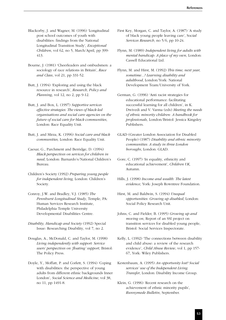- Blackorby, J. and Wagner, M. (1996) 'Longitudinal post school outcomes of youth with disabilities: findings from the National Longitudinal Transition Study', *Exceptional Children*, vol 62, no 5, March/April, pp 399- 413.
- Bourne, J. (1981) 'Cheerleaders and ombudsmen: a sociology of race relations in Britain', *Race and Class*, vol 21, pp 331-52.
- Butt, J. (1994) 'Exploring and using the black resource in research', *Research, Policy and Planning*, vol 12, no 2, pp 9-12.
- Butt, J. and Box, L. (1997) *Supportive services effective strategies: The views of black-led organisations and social care agencies on the future of social care for black communities*, London: Race Equality Unit.
- Butt, J. and Mirza, K. (1996) *Social care and black communities,* London: Race Equality Unit.
- Caesar, G., Parchment and Berridge, D. (1994) *Black perspectives on services for children in need*, London: Barnardo's/National Children's Bureau.
- Children's Society (1992) *Preparing young people for independent living,* London: Children's Society.
- Conroy, J.W. and Bradley, V.J. (1985) *The Pennhurst Longitudinal Study*, Temple, PA: Human Services Research Institute, Philadelphia Temple University Developmental Disabilities Centre.
- *Disability, Handicap and Society* (1992) Special Issue: Researching Disability, vol 7, no 2.
- Douglas, A., McDonald, C. and Taylor, M. (1998) *Living independently with support: Service users' perspectives on 'floating' support*, Bristol: The Policy Press.
- Doyle, Y., Moffatt, P. and Corlett, S. (1994) 'Coping with disabilities: the perspective of young adults from different ethnic backgrounds Inner London', *Social Science and Medicine*, vol 38, no 11, pp 1491-8.
- First Key, Morgan, C. and Taylor, A. (1987) 'A study of black young people leaving care', S*ocial Services Research*, no 5/6, pp 10-24.
- Flynn, M. (1989) *Independent living for adults with mental handicap: A place of my own*, London: Cassell Educational Ltd.
- Flynn, M. and Hirst, M. (1992) *This time, next year, sometime...? Learning disability and adulthood*, London/York: National Development Team/University of York.
- German, G. (1996) 'Anti racist strategies for educational performance: facilitating successful learning for all children', in K. Dwivedi and V. Varma (eds) *Meeting the needs of ethnic minority children: A handbook for professionals*, London/Bristol: Jessica Kingsley Publishers.
- GLAD (Greater London Association for Disabled People) (1987) *Disability and ethnic minority communities: A study in three London boroughs*, London: GLAD.
- Gore, C. (1997) 'In equality, ethnicity and educational achievement', *Children UK,* Autumn.
- Hills, J. (1998) *Income and wealth: The latest evidence*, York: Joseph Rowntree Foundation.
- Hirst, M. and Baldwin, S. (1994) *Unequal opportunities: Growing up disabled*, London: Social Policy Research Unit.
- Johns, C. and Fielder, B. (1995) *Growing up and moving on*, Report of an SSI project on transition services for disabled young people, Bristol: Social Services Inspectorate.
- Kelly, L. (1992) 'The connections between disability and child abuse: a review of the research evidence', *Child Abuse Review*, vol 1, pp 157- 67, York: Wiley Publishers.
- Kestenbaum, A. (1995) *An opportunity lost? Social services' use of the Independent Living Transfer*, London: Disability Income Group.
- Klein, G. (1996) 'Recent research on the achievement of ethnic minority pupils', *Runnymede Bulletin*, September.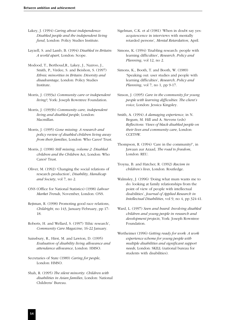- Lakey, J. (1994) *Caring about independence: Disabled people and the independent living fund*, London: Policy Studies Institute.
- Layzell, S. and Lamb, B. (1994) *Disabled in Britain: A world apart*, London: Scope.
- Modood, T., Berthoud,R., Lakey, J., Nazroo, J., Smith, P., Virdee, S. and Beishon, S. (1997) *Ethnic minorities in Britain: Diversity and disadvantage*, London: Policy Studies Institute.
- Morris, J. (1993a) *Community care or independent living?*, York: Joseph Rowntree Foundation.
- Morris, J. (1993b) *Community care, independent living and disabled people*, London: Macmillan.
- Morris, J. (1995) *Gone missing: A research and policy review of disabled children living away from their families*, London: Who Cares? Trust.
- Morris, J. (1998) *Still missing, volume 2: Disabled children and the Children* Act, London: Who Cares? Trust.
- Oliver, M. (1992) 'Changing the social relations of research production', *Disability, Handicap and Society*, vol 7, no 2.
- ONS (Office for National Statistics) (1998) *Labour Market Trends*, November, London: ONS.
- Rejtman, R. (1998) Promoting good race relations, *Childright*, no 143, January/February, pp 17- 18.
- Roberts, H. and Wellard, S. (1997) 'Ethic research', *Community Care Magazine*, 16-22 January.
- Sainsbury, R., Hirst, M. and Lawton, D. (1995) *Evaluation of disability living allowance and attendance allowance*, London: HMSO.
- Secretaries of State (1989) *Caring for people*, London: HMSO.
- Shah, R. (1995) *The silent minority: Children with disabilities in Asian families*, London: National Childrens' Bureau.
- Sigelman, C.K. et al (1981) 'When in doubt say yes: acquiescence in interviews with mentally retarded persons', *Mental Retardation*, April.
- Simons, K. (1994) 'Enabling research: people with learning difficulties', *Research, Policy and Planning*, vol 12, no 2.
- Simons, K., Booth, T. and Booth, W. (1989) 'Speaking out: user studies and people with learning difficulties', *Research, Policy and Planning*, vol 7, no 1, pp 9-17.
- Sinson, J. (1995) *Care in the community for young people with learning difficulties: The client's voice*, London: Jessica Kingsley.
- Smith, A. (1994) *A damaging experience*, in N. Begum, M. Hill and A. Stevens (eds) *Reflections: Views of black disabled people on their lives and community care*, London: CCETSW.
- Thompson, R. (1994) 'Care in the community?', in Jawaan aur Azaad, *The road to freedom*, London: REU.
- Troyna, B. and Hatcher, R. (1992) *Racism in children's lives*, London: Routledge.
- Walmsley, J. (1996) 'Doing what mum wants me to do: looking at family relationships from the point of view of people with intellectual disabilities', *Journal of Applied Research in Intellectual Disabilities*, vol 9, no 4, pp 324-41.
- Ward, L. (1997) *Seen and heard: Involving disabled children and young people in research and development projects*, York: Joseph Rowntree Foundation.
- Wertheimer (1996) *Getting ready for work: A work experience scheme for young people with multiple disabilities and significant support needs*, London: SKILL (national bureau for students with disabilities).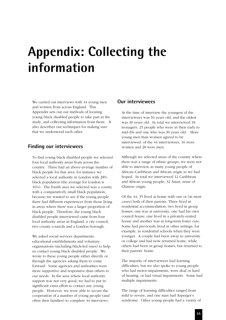# **Appendix: Collecting the information**

We carried out interviews with 44 young men and women from across England. This Appendix sets out our methods of locating young black disabled people to take part in the study, and collecting information from them. It also describes our techniques for making sure that we understood each other.

#### **Finding our interviewees**

To find young black disabled people we selected four local authority areas from across the country. Three had an above-average number of black people for that area: for instance we selected a local authority in London with 28% black population (the average for London is 16%). The fourth area we selected was a county with a comparatively small black population, because we wanted to see if the young people there had different experiences from those living in areas where there was a larger proportion of black people. Therefore, the young black disabled people interviewed came from four local authority areas in England: a city council, two county councils and a London borough.

We asked social services departments, educational establishments and voluntary organisations (including black-led ones) to help us contact young black disabled people. We wrote to these young people either directly or through the agencies asking them to come forward. Some agencies and authorities were more supportive and responsive than others to our needs. In the area where local authority support was not very good, we had to put in significant extra effort to contact any young people. However, we were able to secure the cooperation of a number of young people (and often their families) to complete 44 interviews.

#### **Our interviewees**

At the time of interview the youngest of the interviewees was 16 years old, and the oldest was 30 years old. In total we interviewed 18 teenagers, 25 people who were in their early to mid-20s and one who was 30 years old. More young men than women agreed to be interviewed: of the 44 interviewees, 16 were women and 28 were men.

Although we selected areas of the country where there was a range of ethnic groups, we were not able to interview as many young people of African–Caribbean and African origin as we had hoped. In total we interviewed 12 Caribbean and African young people, 32 Asian, none of Chinese origin.

Of the 44, 35 lived at home with one or (in most cases) both of their parents. Three lived in residential accommodation, two lived in group homes, one was at university, one had his own council house, one lived in a privately-rented house and another was in long-term foster care. Some had previously lived in other settings, for example, in residential schools when they were younger. A couple had been away to university or college and had now returned home, while others had been in group homes, but returned to their parents' home.

The majority of interviewees had learning difficulties, but we also spoke to young people who had motor impairments, were deaf or hard of hearing, or had visual impairments. Some had multiple impairments.

The range of learning difficulties ranged from mild to severe, and one man had Asperger's syndrome. Other young people had a variety of